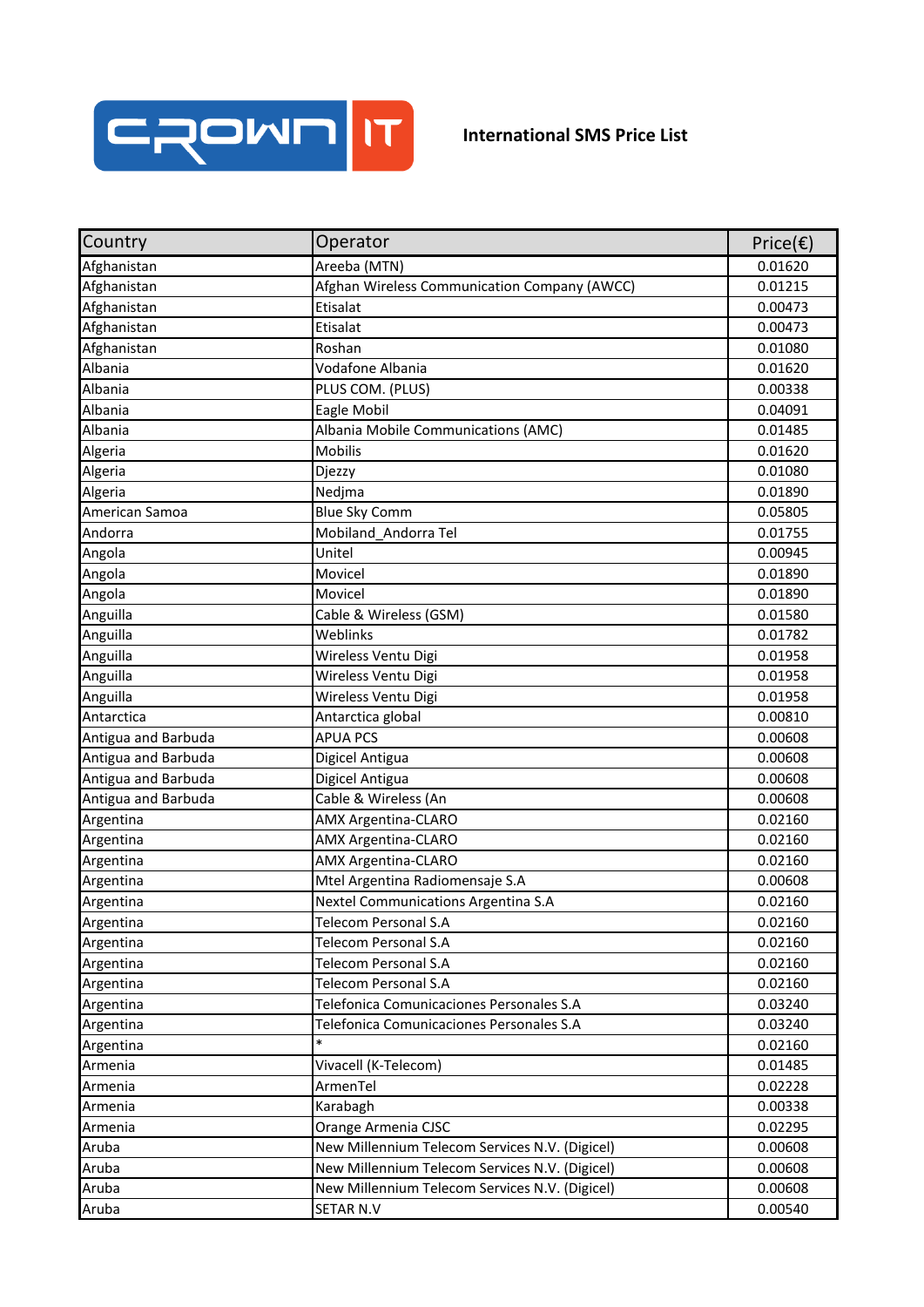

| Country             | Operator                                       | Price( $\epsilon$ ) |
|---------------------|------------------------------------------------|---------------------|
| Afghanistan         | Areeba (MTN)                                   | 0.01620             |
| Afghanistan         | Afghan Wireless Communication Company (AWCC)   | 0.01215             |
| Afghanistan         | Etisalat                                       | 0.00473             |
| Afghanistan         | Etisalat                                       | 0.00473             |
| Afghanistan         | Roshan                                         | 0.01080             |
| Albania             | Vodafone Albania                               | 0.01620             |
| Albania             | PLUS COM. (PLUS)                               | 0.00338             |
| Albania             | Eagle Mobil                                    | 0.04091             |
| Albania             | Albania Mobile Communications (AMC)            | 0.01485             |
| Algeria             | Mobilis                                        | 0.01620             |
| Algeria             | Djezzy                                         | 0.01080             |
| Algeria             | Nedjma                                         | 0.01890             |
| American Samoa      | <b>Blue Sky Comm</b>                           | 0.05805             |
| Andorra             | Mobiland Andorra Tel                           | 0.01755             |
| Angola              | Unitel                                         | 0.00945             |
| Angola              | Movicel                                        | 0.01890             |
| Angola              | Movicel                                        | 0.01890             |
| Anguilla            | Cable & Wireless (GSM)                         | 0.01580             |
| Anguilla            | Weblinks                                       | 0.01782             |
| Anguilla            | Wireless Ventu Digi                            | 0.01958             |
| Anguilla            | Wireless Ventu Digi                            | 0.01958             |
| Anguilla            | Wireless Ventu Digi                            | 0.01958             |
| Antarctica          | Antarctica global                              | 0.00810             |
| Antigua and Barbuda | <b>APUA PCS</b>                                | 0.00608             |
| Antigua and Barbuda | Digicel Antigua                                | 0.00608             |
| Antigua and Barbuda | Digicel Antigua                                | 0.00608             |
| Antigua and Barbuda | Cable & Wireless (An                           | 0.00608             |
| Argentina           | AMX Argentina-CLARO                            | 0.02160             |
| Argentina           | AMX Argentina-CLARO                            | 0.02160             |
| Argentina           | AMX Argentina-CLARO                            | 0.02160             |
| Argentina           | Mtel Argentina Radiomensaje S.A                | 0.00608             |
| Argentina           | Nextel Communications Argentina S.A            | 0.02160             |
| Argentina           | Telecom Personal S.A                           | 0.02160             |
| Argentina           | <b>Telecom Personal S.A</b>                    | 0.02160             |
| Argentina           | <b>Telecom Personal S.A</b>                    | 0.02160             |
| Argentina           | Telecom Personal S.A                           | 0.02160             |
| Argentina           | Telefonica Comunicaciones Personales S.A       | 0.03240             |
| Argentina           | Telefonica Comunicaciones Personales S.A       | 0.03240             |
| Argentina           | $\ast$                                         | 0.02160             |
| Armenia             | Vivacell (K-Telecom)                           | 0.01485             |
| Armenia             | ArmenTel                                       | 0.02228             |
| Armenia             | Karabagh                                       | 0.00338             |
| Armenia             | Orange Armenia CJSC                            | 0.02295             |
| Aruba               | New Millennium Telecom Services N.V. (Digicel) | 0.00608             |
| Aruba               | New Millennium Telecom Services N.V. (Digicel) | 0.00608             |
| Aruba               | New Millennium Telecom Services N.V. (Digicel) | 0.00608             |
| Aruba               | <b>SETAR N.V</b>                               | 0.00540             |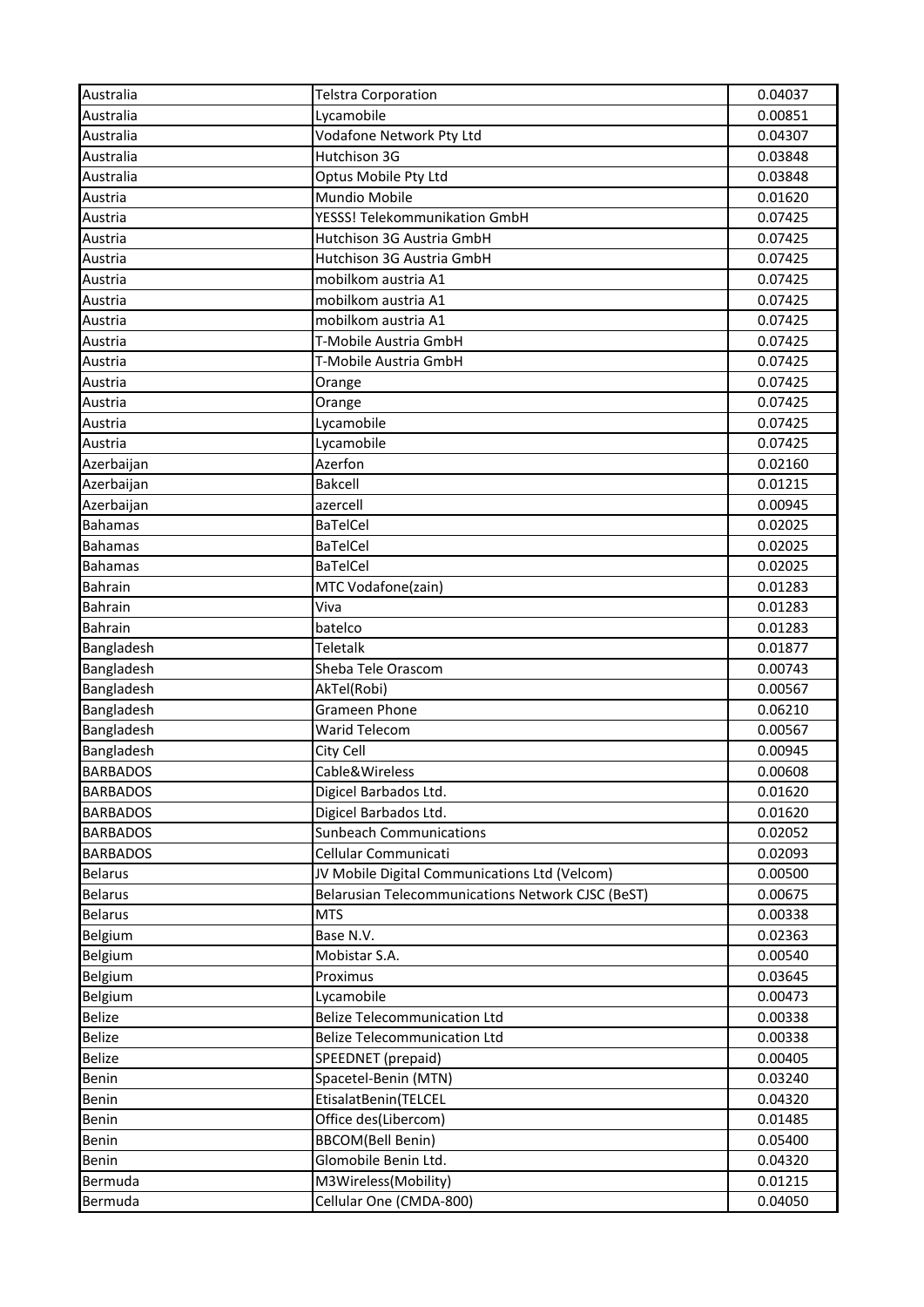| Australia       | <b>Telstra Corporation</b>                        | 0.04037 |
|-----------------|---------------------------------------------------|---------|
| Australia       | Lycamobile                                        | 0.00851 |
| Australia       | Vodafone Network Pty Ltd                          | 0.04307 |
| Australia       | Hutchison 3G                                      | 0.03848 |
| Australia       | Optus Mobile Pty Ltd                              | 0.03848 |
| Austria         | Mundio Mobile                                     | 0.01620 |
| Austria         | YESSS! Telekommunikation GmbH                     | 0.07425 |
| Austria         | Hutchison 3G Austria GmbH                         | 0.07425 |
| Austria         | Hutchison 3G Austria GmbH                         | 0.07425 |
| Austria         | mobilkom austria A1                               | 0.07425 |
| Austria         | mobilkom austria A1                               | 0.07425 |
| Austria         | mobilkom austria A1                               | 0.07425 |
| Austria         | T-Mobile Austria GmbH                             | 0.07425 |
| Austria         | T-Mobile Austria GmbH                             | 0.07425 |
| Austria         | Orange                                            | 0.07425 |
| Austria         | Orange                                            | 0.07425 |
| Austria         | Lycamobile                                        | 0.07425 |
| Austria         | Lycamobile                                        | 0.07425 |
| Azerbaijan      | Azerfon                                           | 0.02160 |
| Azerbaijan      | <b>Bakcell</b>                                    | 0.01215 |
| Azerbaijan      | azercell                                          | 0.00945 |
| <b>Bahamas</b>  | <b>BaTelCel</b>                                   | 0.02025 |
| <b>Bahamas</b>  | <b>BaTelCel</b>                                   | 0.02025 |
| <b>Bahamas</b>  | <b>BaTelCel</b>                                   | 0.02025 |
| <b>Bahrain</b>  | MTC Vodafone(zain)                                | 0.01283 |
| <b>Bahrain</b>  | Viva                                              | 0.01283 |
| <b>Bahrain</b>  | batelco                                           | 0.01283 |
| Bangladesh      | Teletalk                                          | 0.01877 |
| Bangladesh      | Sheba Tele Orascom                                | 0.00743 |
| Bangladesh      | AkTel(Robi)                                       | 0.00567 |
| Bangladesh      | <b>Grameen Phone</b>                              | 0.06210 |
| Bangladesh      | <b>Warid Telecom</b>                              | 0.00567 |
| Bangladesh      | City Cell                                         | 0.00945 |
| <b>BARBADOS</b> | Cable&Wireless                                    | 0.00608 |
| <b>BARBADOS</b> | Digicel Barbados Ltd.                             | 0.01620 |
| <b>BARBADOS</b> | Digicel Barbados Ltd.                             | 0.01620 |
| <b>BARBADOS</b> | <b>Sunbeach Communications</b>                    | 0.02052 |
| <b>BARBADOS</b> | Cellular Communicati                              | 0.02093 |
| <b>Belarus</b>  | JV Mobile Digital Communications Ltd (Velcom)     | 0.00500 |
| <b>Belarus</b>  | Belarusian Telecommunications Network CJSC (BeST) | 0.00675 |
| <b>Belarus</b>  | <b>MTS</b>                                        | 0.00338 |
| Belgium         | Base N.V.                                         | 0.02363 |
| Belgium         | Mobistar S.A.                                     | 0.00540 |
| Belgium         | Proximus                                          | 0.03645 |
| Belgium         | Lycamobile                                        | 0.00473 |
| <b>Belize</b>   | <b>Belize Telecommunication Ltd</b>               | 0.00338 |
| <b>Belize</b>   | <b>Belize Telecommunication Ltd</b>               | 0.00338 |
| <b>Belize</b>   | SPEEDNET (prepaid)                                | 0.00405 |
| Benin           | Spacetel-Benin (MTN)                              | 0.03240 |
| Benin           | EtisalatBenin(TELCEL                              | 0.04320 |
| Benin           | Office des(Libercom)                              | 0.01485 |
| <b>Benin</b>    | <b>BBCOM(Bell Benin)</b>                          | 0.05400 |
| Benin           | Glomobile Benin Ltd.                              | 0.04320 |
| Bermuda         | M3Wireless(Mobility)                              | 0.01215 |
| Bermuda         | Cellular One (CMDA-800)                           | 0.04050 |
|                 |                                                   |         |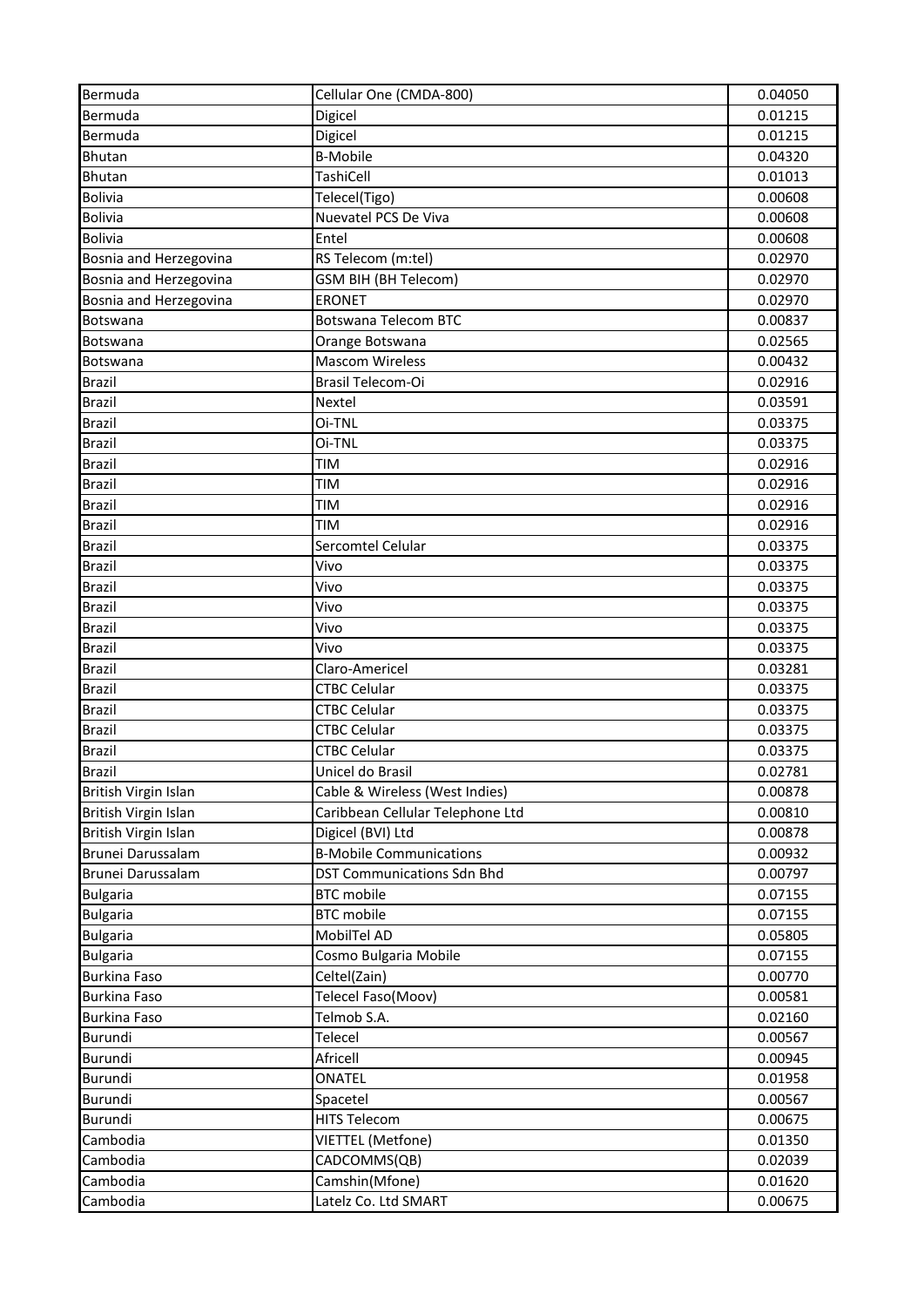| Bermuda                | Cellular One (CMDA-800)           | 0.04050 |
|------------------------|-----------------------------------|---------|
| Bermuda                | Digicel                           | 0.01215 |
| Bermuda                | Digicel                           | 0.01215 |
| <b>Bhutan</b>          | <b>B-Mobile</b>                   | 0.04320 |
| <b>Bhutan</b>          | TashiCell                         | 0.01013 |
| <b>Bolivia</b>         | Telecel(Tigo)                     | 0.00608 |
| <b>Bolivia</b>         | Nuevatel PCS De Viva              | 0.00608 |
| <b>Bolivia</b>         | Entel                             | 0.00608 |
| Bosnia and Herzegovina | RS Telecom (m:tel)                | 0.02970 |
| Bosnia and Herzegovina | <b>GSM BIH (BH Telecom)</b>       | 0.02970 |
| Bosnia and Herzegovina | <b>ERONET</b>                     | 0.02970 |
| <b>Botswana</b>        | <b>Botswana Telecom BTC</b>       | 0.00837 |
| <b>Botswana</b>        | Orange Botswana                   | 0.02565 |
| Botswana               | <b>Mascom Wireless</b>            | 0.00432 |
| <b>Brazil</b>          | Brasil Telecom-Oi                 | 0.02916 |
| <b>Brazil</b>          | Nextel                            | 0.03591 |
| <b>Brazil</b>          | Oi-TNL                            | 0.03375 |
| <b>Brazil</b>          | Oi-TNL                            | 0.03375 |
| <b>Brazil</b>          | <b>TIM</b>                        | 0.02916 |
| <b>Brazil</b>          | <b>TIM</b>                        | 0.02916 |
| <b>Brazil</b>          | <b>TIM</b>                        | 0.02916 |
| <b>Brazil</b>          | <b>TIM</b>                        | 0.02916 |
| <b>Brazil</b>          | Sercomtel Celular                 | 0.03375 |
| <b>Brazil</b>          | Vivo                              | 0.03375 |
| <b>Brazil</b>          | Vivo                              | 0.03375 |
| <b>Brazil</b>          | Vivo                              | 0.03375 |
| <b>Brazil</b>          | Vivo                              | 0.03375 |
| <b>Brazil</b>          | Vivo                              | 0.03375 |
| <b>Brazil</b>          | Claro-Americel                    | 0.03281 |
| <b>Brazil</b>          | <b>CTBC Celular</b>               | 0.03375 |
| <b>Brazil</b>          | <b>CTBC Celular</b>               | 0.03375 |
| <b>Brazil</b>          | <b>CTBC Celular</b>               | 0.03375 |
| <b>Brazil</b>          | <b>CTBC Celular</b>               | 0.03375 |
| <b>Brazil</b>          | Unicel do Brasil                  | 0.02781 |
| British Virgin Islan   | Cable & Wireless (West Indies)    | 0.00878 |
| British Virgin Islan   | Caribbean Cellular Telephone Ltd  | 0.00810 |
| British Virgin Islan   | Digicel (BVI) Ltd                 | 0.00878 |
| Brunei Darussalam      | <b>B-Mobile Communications</b>    | 0.00932 |
| Brunei Darussalam      | <b>DST Communications Sdn Bhd</b> | 0.00797 |
| <b>Bulgaria</b>        | <b>BTC</b> mobile                 | 0.07155 |
| <b>Bulgaria</b>        | <b>BTC</b> mobile                 | 0.07155 |
| <b>Bulgaria</b>        | MobilTel AD                       | 0.05805 |
| <b>Bulgaria</b>        | Cosmo Bulgaria Mobile             | 0.07155 |
| <b>Burkina Faso</b>    | Celtel(Zain)                      | 0.00770 |
| <b>Burkina Faso</b>    | Telecel Faso(Moov)                | 0.00581 |
| <b>Burkina Faso</b>    | Telmob S.A.                       | 0.02160 |
| <b>Burundi</b>         | Telecel                           | 0.00567 |
| Burundi                | Africell                          | 0.00945 |
| <b>Burundi</b>         | ONATEL                            | 0.01958 |
| <b>Burundi</b>         | Spacetel                          | 0.00567 |
| Burundi                | <b>HITS Telecom</b>               | 0.00675 |
| Cambodia               | <b>VIETTEL (Metfone)</b>          | 0.01350 |
| Cambodia               | CADCOMMS(QB)                      | 0.02039 |
| Cambodia               | Camshin(Mfone)                    | 0.01620 |
| Cambodia               | Latelz Co. Ltd SMART              | 0.00675 |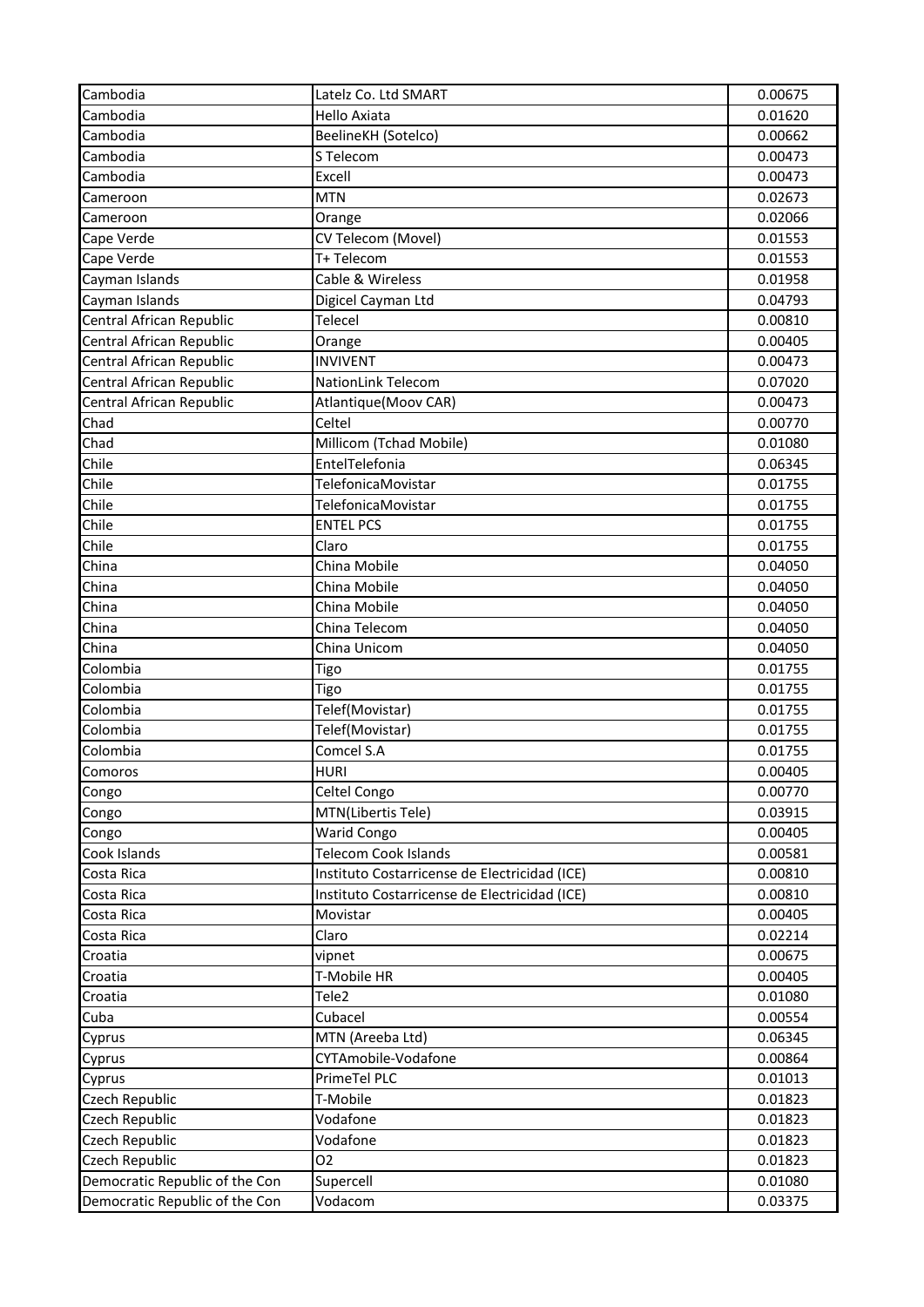| Cambodia                       | Latelz Co. Ltd SMART                          | 0.00675            |
|--------------------------------|-----------------------------------------------|--------------------|
| Cambodia                       | Hello Axiata                                  | 0.01620            |
| Cambodia                       | BeelineKH (Sotelco)                           | 0.00662            |
| Cambodia                       | S Telecom                                     | 0.00473            |
| Cambodia                       | Excell                                        | 0.00473            |
| Cameroon                       | <b>MTN</b>                                    | 0.02673            |
| Cameroon                       | Orange                                        | 0.02066            |
| Cape Verde                     | CV Telecom (Movel)                            | 0.01553            |
| Cape Verde                     | T+ Telecom                                    | 0.01553            |
| Cayman Islands                 | Cable & Wireless                              | 0.01958            |
| Cayman Islands                 | Digicel Cayman Ltd                            | 0.04793            |
| Central African Republic       | <b>Telecel</b>                                | 0.00810            |
| Central African Republic       | Orange                                        | 0.00405            |
| Central African Republic       | <b>INVIVENT</b>                               | 0.00473            |
| Central African Republic       | <b>NationLink Telecom</b>                     | 0.07020            |
| Central African Republic       | Atlantique(Moov CAR)                          | 0.00473            |
| Chad                           | Celtel                                        | 0.00770            |
| Chad                           | Millicom (Tchad Mobile)                       | 0.01080            |
| Chile                          | EntelTelefonia                                | 0.06345            |
| Chile                          | <b>TelefonicaMovistar</b>                     | 0.01755            |
| Chile                          | TelefonicaMovistar                            | 0.01755            |
| Chile                          | <b>ENTEL PCS</b>                              | 0.01755            |
| Chile                          | Claro                                         | 0.01755            |
| China                          | China Mobile                                  | 0.04050            |
| China                          | China Mobile                                  | 0.04050            |
| China                          | China Mobile                                  | 0.04050            |
| China                          | China Telecom                                 | 0.04050            |
| China                          | China Unicom                                  | 0.04050            |
| Colombia                       | Tigo                                          | 0.01755            |
| Colombia                       | Tigo                                          | 0.01755            |
| Colombia                       | Telef(Movistar)                               | 0.01755            |
| Colombia                       | Telef(Movistar)                               | 0.01755            |
| Colombia                       | Comcel S.A                                    | 0.01755            |
| Comoros                        | <b>HURI</b>                                   | 0.00405            |
|                                | Celtel Congo                                  | 0.00770            |
| Congo                          | MTN(Libertis Tele)                            |                    |
| Congo                          | Warid Congo                                   | 0.03915            |
| Congo                          | <b>Telecom Cook Islands</b>                   | 0.00405            |
| Cook Islands                   |                                               | 0.00581<br>0.00810 |
| Costa Rica<br>Costa Rica       | Instituto Costarricense de Electricidad (ICE) | 0.00810            |
|                                | Instituto Costarricense de Electricidad (ICE) |                    |
| Costa Rica                     | Movistar                                      | 0.00405            |
| Costa Rica                     | Claro                                         | 0.02214            |
| Croatia                        | vipnet                                        | 0.00675            |
| Croatia                        | T-Mobile HR                                   | 0.00405            |
| Croatia                        | Tele2                                         | 0.01080            |
| Cuba                           | Cubacel                                       | 0.00554            |
| Cyprus                         | MTN (Areeba Ltd)                              | 0.06345            |
| Cyprus                         | CYTAmobile-Vodafone                           | 0.00864            |
| Cyprus                         | PrimeTel PLC                                  | 0.01013            |
| Czech Republic                 | T-Mobile                                      | 0.01823            |
| Czech Republic                 | Vodafone                                      | 0.01823            |
| Czech Republic                 | Vodafone                                      | 0.01823            |
| Czech Republic                 | O <sub>2</sub>                                | 0.01823            |
| Democratic Republic of the Con | Supercell                                     | 0.01080            |
| Democratic Republic of the Con | Vodacom                                       | 0.03375            |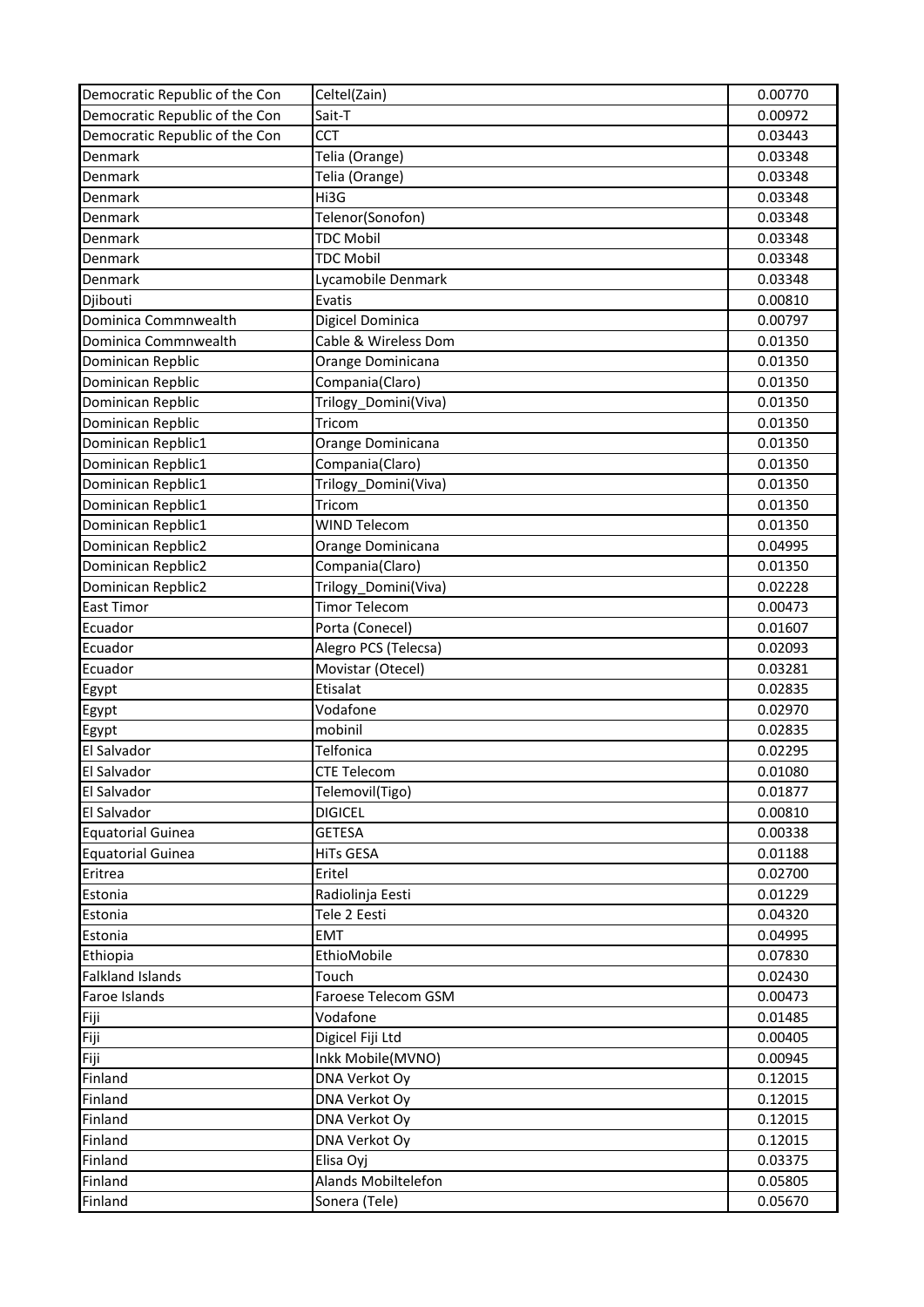| Democratic Republic of the Con | Celtel(Zain)         | 0.00770 |
|--------------------------------|----------------------|---------|
| Democratic Republic of the Con | Sait-T               | 0.00972 |
| Democratic Republic of the Con | <b>CCT</b>           | 0.03443 |
| Denmark                        | Telia (Orange)       | 0.03348 |
| Denmark                        | Telia (Orange)       | 0.03348 |
| Denmark                        | Hi3G                 | 0.03348 |
| Denmark                        | Telenor(Sonofon)     | 0.03348 |
| Denmark                        | <b>TDC Mobil</b>     | 0.03348 |
| Denmark                        | <b>TDC Mobil</b>     | 0.03348 |
| Denmark                        | Lycamobile Denmark   | 0.03348 |
| Djibouti                       | Evatis               | 0.00810 |
| Dominica Commnwealth           | Digicel Dominica     | 0.00797 |
| Dominica Commnwealth           | Cable & Wireless Dom | 0.01350 |
| Dominican Repblic              | Orange Dominicana    | 0.01350 |
| Dominican Repblic              | Compania(Claro)      | 0.01350 |
| Dominican Repblic              | Trilogy Domini(Viva) | 0.01350 |
| Dominican Repblic              | Tricom               | 0.01350 |
| Dominican Repblic1             | Orange Dominicana    | 0.01350 |
| Dominican Repblic1             | Compania(Claro)      | 0.01350 |
| Dominican Repblic1             | Trilogy_Domini(Viva) | 0.01350 |
| Dominican Repblic1             | Tricom               | 0.01350 |
| Dominican Repblic1             | <b>WIND Telecom</b>  | 0.01350 |
| Dominican Repblic2             | Orange Dominicana    | 0.04995 |
| Dominican Repblic2             | Compania(Claro)      | 0.01350 |
| Dominican Repblic2             | Trilogy_Domini(Viva) | 0.02228 |
| <b>East Timor</b>              | <b>Timor Telecom</b> | 0.00473 |
| Ecuador                        | Porta (Conecel)      | 0.01607 |
| Ecuador                        | Alegro PCS (Telecsa) | 0.02093 |
| Ecuador                        | Movistar (Otecel)    | 0.03281 |
| Egypt                          | Etisalat             | 0.02835 |
| Egypt                          | Vodafone             | 0.02970 |
| Egypt                          | mobinil              | 0.02835 |
| El Salvador                    | Telfonica            | 0.02295 |
| El Salvador                    | <b>CTE Telecom</b>   | 0.01080 |
| El Salvador                    | Telemovil(Tigo)      | 0.01877 |
| El Salvador                    | <b>DIGICEL</b>       | 0.00810 |
| <b>Equatorial Guinea</b>       | <b>GETESA</b>        | 0.00338 |
| <b>Equatorial Guinea</b>       | <b>HiTs GESA</b>     | 0.01188 |
| Eritrea                        | Eritel               | 0.02700 |
| Estonia                        | Radiolinja Eesti     | 0.01229 |
| Estonia                        | Tele 2 Eesti         | 0.04320 |
| Estonia                        | <b>EMT</b>           | 0.04995 |
| Ethiopia                       | EthioMobile          | 0.07830 |
| <b>Falkland Islands</b>        | Touch                | 0.02430 |
| Faroe Islands                  | Faroese Telecom GSM  | 0.00473 |
| Fiji                           | Vodafone             | 0.01485 |
| Fiji                           | Digicel Fiji Ltd     | 0.00405 |
| Fiji                           | Inkk Mobile(MVNO)    | 0.00945 |
| Finland                        | DNA Verkot Oy        | 0.12015 |
| Finland                        | DNA Verkot Oy        | 0.12015 |
| Finland                        | DNA Verkot Oy        | 0.12015 |
| Finland                        | DNA Verkot Oy        | 0.12015 |
| Finland                        | Elisa Oyj            | 0.03375 |
| Finland                        | Alands Mobiltelefon  | 0.05805 |
| Finland                        | Sonera (Tele)        | 0.05670 |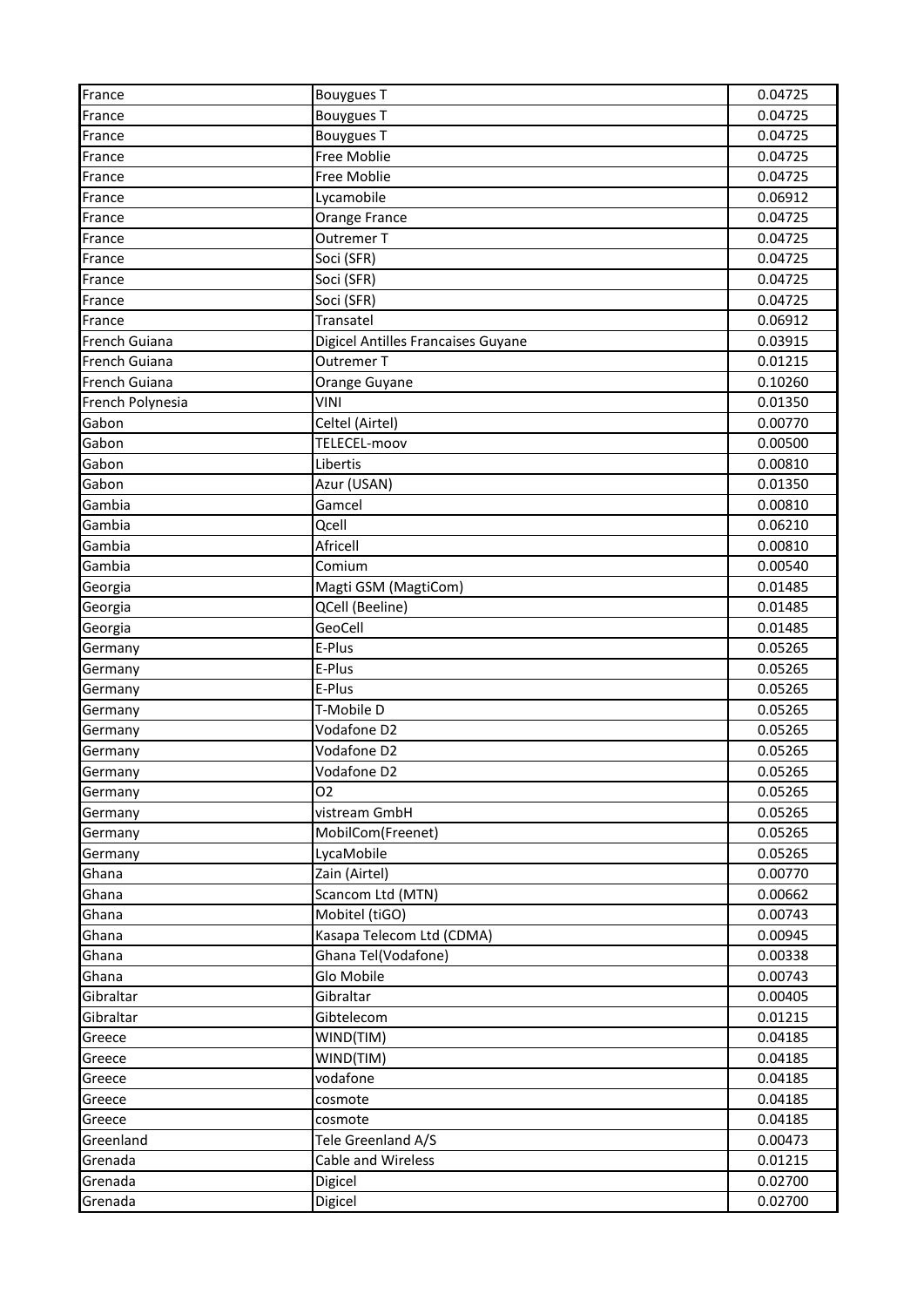| France               | <b>Bouygues T</b>                  | 0.04725 |
|----------------------|------------------------------------|---------|
| France               | <b>Bouygues T</b>                  | 0.04725 |
| France               | <b>Bouygues T</b>                  | 0.04725 |
| France               | Free Moblie                        | 0.04725 |
| France               | Free Moblie                        | 0.04725 |
| France               | Lycamobile                         | 0.06912 |
| France               | Orange France                      | 0.04725 |
| France               | Outremer T                         | 0.04725 |
| France               | Soci (SFR)                         | 0.04725 |
| France               | Soci (SFR)                         | 0.04725 |
| France               | Soci (SFR)                         | 0.04725 |
| France               | Transatel                          | 0.06912 |
| French Guiana        | Digicel Antilles Francaises Guyane | 0.03915 |
| <b>French Guiana</b> | Outremer T                         | 0.01215 |
| French Guiana        | Orange Guyane                      | 0.10260 |
| French Polynesia     | <b>VINI</b>                        | 0.01350 |
| Gabon                | Celtel (Airtel)                    | 0.00770 |
| Gabon                | TELECEL-moov                       | 0.00500 |
| Gabon                | Libertis                           | 0.00810 |
| Gabon                | Azur (USAN)                        | 0.01350 |
| Gambia               | Gamcel                             | 0.00810 |
| Gambia               | Qcell                              | 0.06210 |
| Gambia               | Africell                           | 0.00810 |
| Gambia               | Comium                             | 0.00540 |
| Georgia              | Magti GSM (MagtiCom)               | 0.01485 |
| Georgia              | QCell (Beeline)                    | 0.01485 |
| Georgia              | GeoCell                            | 0.01485 |
| Germany              | E-Plus                             | 0.05265 |
| Germany              | E-Plus                             | 0.05265 |
| Germany              | E-Plus                             | 0.05265 |
| Germany              | T-Mobile D                         | 0.05265 |
| Germany              | Vodafone D2                        | 0.05265 |
| Germany              | Vodafone D2                        | 0.05265 |
| Germany              | Vodafone D2                        | 0.05265 |
| Germany              | O <sub>2</sub>                     | 0.05265 |
| Germany              | vistream GmbH                      | 0.05265 |
| Germany              | MobilCom(Freenet)                  | 0.05265 |
| Germany              | LycaMobile                         | 0.05265 |
| Ghana                | Zain (Airtel)                      | 0.00770 |
| Ghana                | Scancom Ltd (MTN)                  | 0.00662 |
| Ghana                | Mobitel (tiGO)                     | 0.00743 |
| Ghana                | Kasapa Telecom Ltd (CDMA)          | 0.00945 |
| Ghana                | Ghana Tel(Vodafone)                | 0.00338 |
| Ghana                | Glo Mobile                         | 0.00743 |
| Gibraltar            | Gibraltar                          | 0.00405 |
| Gibraltar            | Gibtelecom                         | 0.01215 |
| Greece               | WIND(TIM)                          | 0.04185 |
| Greece               | WIND(TIM)                          | 0.04185 |
| Greece               | vodafone                           | 0.04185 |
| Greece               | cosmote                            | 0.04185 |
| Greece               | cosmote                            | 0.04185 |
| Greenland            | Tele Greenland A/S                 | 0.00473 |
| Grenada              | Cable and Wireless                 | 0.01215 |
| Grenada              | Digicel                            | 0.02700 |
| Grenada              | Digicel                            | 0.02700 |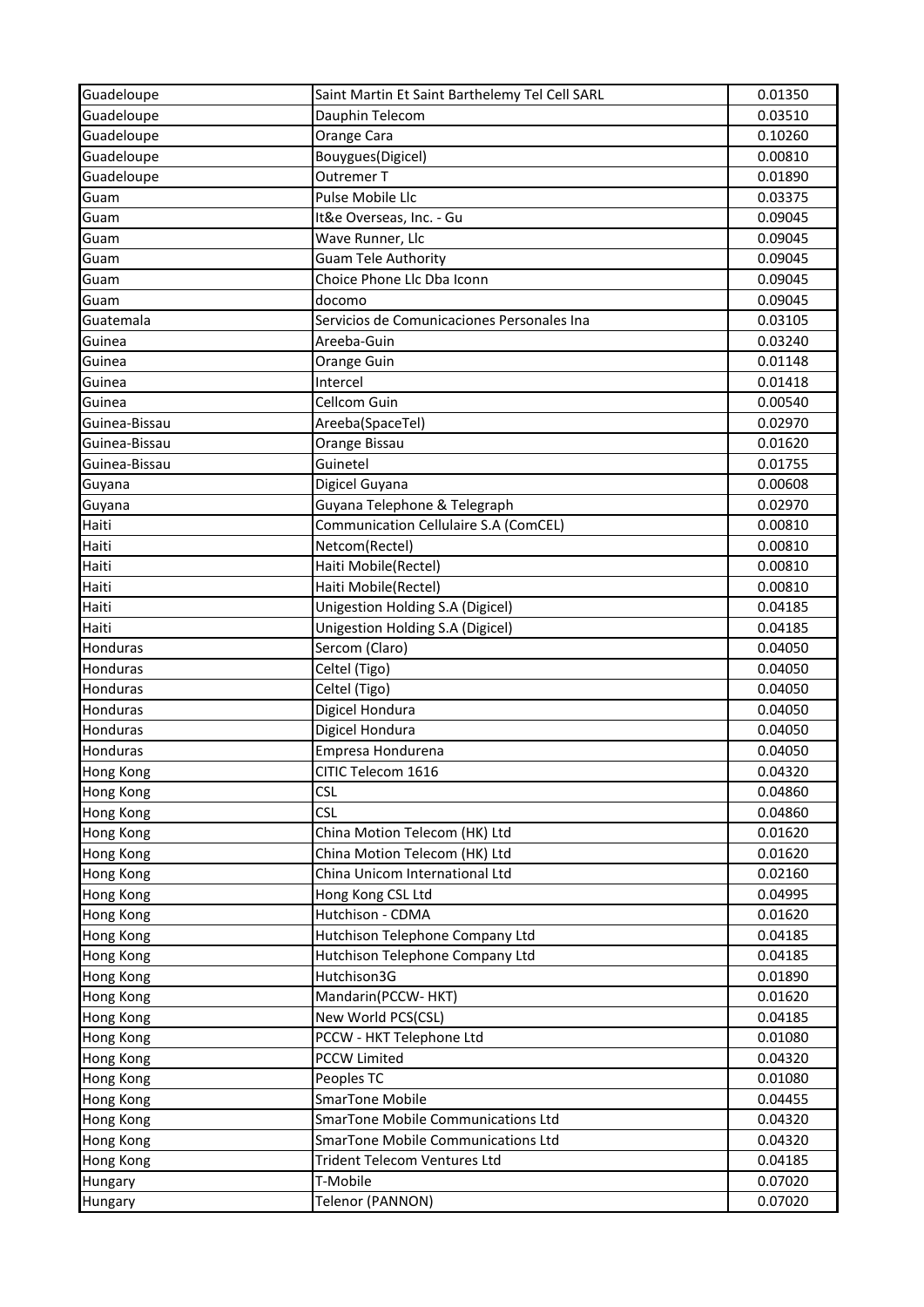| Guadeloupe       | Saint Martin Et Saint Barthelemy Tel Cell SARL | 0.01350 |
|------------------|------------------------------------------------|---------|
| Guadeloupe       | Dauphin Telecom                                | 0.03510 |
| Guadeloupe       | Orange Cara                                    | 0.10260 |
| Guadeloupe       | Bouygues(Digicel)                              | 0.00810 |
| Guadeloupe       | Outremer T                                     | 0.01890 |
| Guam             | Pulse Mobile Llc                               | 0.03375 |
| Guam             | It&e Overseas, Inc. - Gu                       | 0.09045 |
| Guam             | Wave Runner, Llc                               | 0.09045 |
| Guam             | <b>Guam Tele Authority</b>                     | 0.09045 |
| Guam             | Choice Phone Llc Dba Iconn                     | 0.09045 |
| Guam             | docomo                                         | 0.09045 |
| Guatemala        | Servicios de Comunicaciones Personales Ina     | 0.03105 |
| Guinea           | Areeba-Guin                                    | 0.03240 |
| Guinea           | Orange Guin                                    | 0.01148 |
| Guinea           | Intercel                                       | 0.01418 |
| Guinea           | Cellcom Guin                                   | 0.00540 |
| Guinea-Bissau    | Areeba(SpaceTel)                               | 0.02970 |
| Guinea-Bissau    | Orange Bissau                                  | 0.01620 |
| Guinea-Bissau    | Guinetel                                       | 0.01755 |
| Guyana           | Digicel Guyana                                 | 0.00608 |
| Guyana           | Guyana Telephone & Telegraph                   | 0.02970 |
| Haiti            | Communication Cellulaire S.A (ComCEL)          | 0.00810 |
| Haiti            | Netcom(Rectel)                                 | 0.00810 |
| Haiti            | Haiti Mobile(Rectel)                           | 0.00810 |
| Haiti            | Haiti Mobile(Rectel)                           | 0.00810 |
| Haiti            | Unigestion Holding S.A (Digicel)               | 0.04185 |
| Haiti            | Unigestion Holding S.A (Digicel)               | 0.04185 |
| Honduras         | Sercom (Claro)                                 | 0.04050 |
| Honduras         | Celtel (Tigo)                                  | 0.04050 |
| Honduras         | Celtel (Tigo)                                  | 0.04050 |
| Honduras         | Digicel Hondura                                | 0.04050 |
| Honduras         | Digicel Hondura                                | 0.04050 |
| Honduras         | Empresa Hondurena                              | 0.04050 |
| <b>Hong Kong</b> | CITIC Telecom 1616                             | 0.04320 |
| Hong Kong        | <b>CSL</b>                                     | 0.04860 |
| Hong Kong        | <b>CSL</b>                                     | 0.04860 |
| Hong Kong        | China Motion Telecom (HK) Ltd                  | 0.01620 |
| <b>Hong Kong</b> | China Motion Telecom (HK) Ltd                  | 0.01620 |
| Hong Kong        | China Unicom International Ltd                 | 0.02160 |
| Hong Kong        | Hong Kong CSL Ltd                              | 0.04995 |
| Hong Kong        | Hutchison - CDMA                               | 0.01620 |
| Hong Kong        | Hutchison Telephone Company Ltd                | 0.04185 |
| <b>Hong Kong</b> | Hutchison Telephone Company Ltd                | 0.04185 |
| Hong Kong        | Hutchison3G                                    | 0.01890 |
| Hong Kong        | Mandarin(PCCW- HKT)                            | 0.01620 |
| Hong Kong        | New World PCS(CSL)                             | 0.04185 |
| Hong Kong        | PCCW - HKT Telephone Ltd                       | 0.01080 |
| <b>Hong Kong</b> | <b>PCCW Limited</b>                            | 0.04320 |
| Hong Kong        | Peoples TC                                     | 0.01080 |
| Hong Kong        | <b>SmarTone Mobile</b>                         | 0.04455 |
| Hong Kong        | <b>SmarTone Mobile Communications Ltd</b>      | 0.04320 |
| <b>Hong Kong</b> | <b>SmarTone Mobile Communications Ltd</b>      | 0.04320 |
| Hong Kong        | <b>Trident Telecom Ventures Ltd</b>            | 0.04185 |
| Hungary          | T-Mobile                                       | 0.07020 |
| Hungary          | Telenor (PANNON)                               | 0.07020 |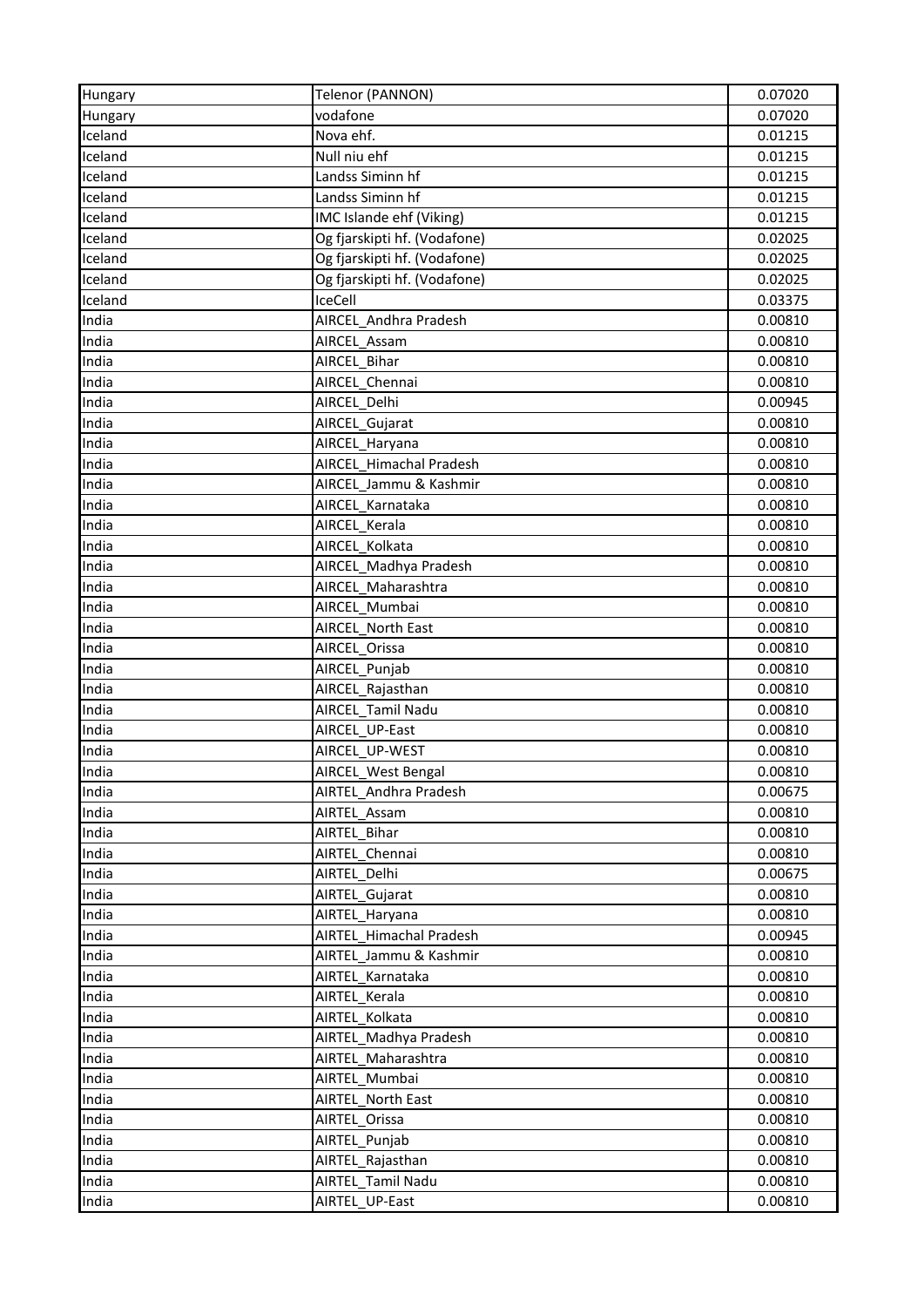| Hungary | Telenor (PANNON)             | 0.07020 |
|---------|------------------------------|---------|
| Hungary | vodafone                     | 0.07020 |
| Iceland | Nova ehf.                    | 0.01215 |
| Iceland | Null niu ehf                 | 0.01215 |
| Iceland | Landss Siminn hf             | 0.01215 |
| Iceland | Landss Siminn hf             | 0.01215 |
| Iceland | IMC Islande ehf (Viking)     | 0.01215 |
| Iceland | Og fjarskipti hf. (Vodafone) | 0.02025 |
| Iceland | Og fjarskipti hf. (Vodafone) | 0.02025 |
| Iceland | Og fjarskipti hf. (Vodafone) | 0.02025 |
| Iceland | IceCell                      | 0.03375 |
| India   | AIRCEL Andhra Pradesh        | 0.00810 |
| India   | AIRCEL Assam                 | 0.00810 |
| India   | AIRCEL Bihar                 | 0.00810 |
| India   | AIRCEL Chennai               | 0.00810 |
| India   | AIRCEL Delhi                 | 0.00945 |
| India   | AIRCEL Gujarat               | 0.00810 |
| India   | AIRCEL Haryana               | 0.00810 |
| India   | AIRCEL Himachal Pradesh      | 0.00810 |
| India   | AIRCEL Jammu & Kashmir       | 0.00810 |
| India   | AIRCEL Karnataka             | 0.00810 |
| India   | AIRCEL Kerala                | 0.00810 |
| India   | AIRCEL Kolkata               | 0.00810 |
| India   | AIRCEL_Madhya Pradesh        | 0.00810 |
| India   | AIRCEL Maharashtra           | 0.00810 |
| India   | AIRCEL Mumbai                | 0.00810 |
| India   | AIRCEL North East            | 0.00810 |
| India   | AIRCEL Orissa                | 0.00810 |
| India   | AIRCEL Punjab                | 0.00810 |
| India   | AIRCEL Rajasthan             | 0.00810 |
| India   | AIRCEL Tamil Nadu            | 0.00810 |
| India   | AIRCEL UP-East               | 0.00810 |
| India   | AIRCEL UP-WEST               | 0.00810 |
| India   | AIRCEL West Bengal           | 0.00810 |
| India   | AIRTEL Andhra Pradesh        | 0.00675 |
| India   | AIRTEL Assam                 | 0.00810 |
| India   | AIRTEL Bihar                 | 0.00810 |
| India   | AIRTEL Chennai               | 0.00810 |
| India   | AIRTEL Delhi                 | 0.00675 |
| India   | AIRTEL Gujarat               | 0.00810 |
| India   | AIRTEL Haryana               | 0.00810 |
| India   | AIRTEL Himachal Pradesh      | 0.00945 |
| India   | AIRTEL Jammu & Kashmir       | 0.00810 |
| India   | AIRTEL Karnataka             | 0.00810 |
| India   | AIRTEL Kerala                | 0.00810 |
| India   | AIRTEL Kolkata               | 0.00810 |
| India   | AIRTEL Madhya Pradesh        | 0.00810 |
| India   | AIRTEL Maharashtra           | 0.00810 |
| India   | AIRTEL Mumbai                | 0.00810 |
| India   | AIRTEL North East            | 0.00810 |
| India   | AIRTEL_Orissa                | 0.00810 |
| India   | AIRTEL Punjab                | 0.00810 |
| India   | AIRTEL_Rajasthan             | 0.00810 |
| India   | AIRTEL Tamil Nadu            | 0.00810 |
| India   | AIRTEL UP-East               | 0.00810 |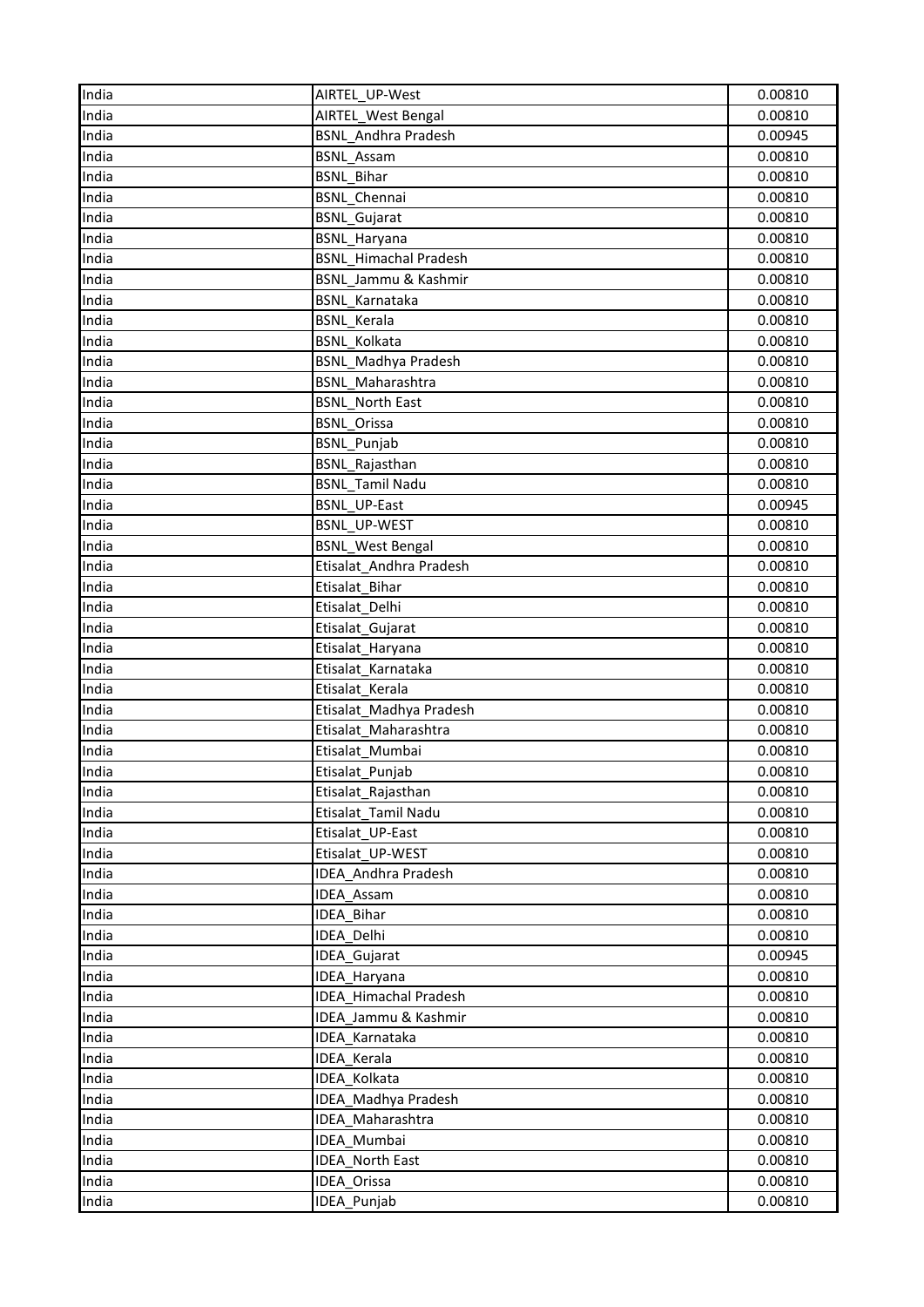| India | AIRTEL UP-West               | 0.00810 |
|-------|------------------------------|---------|
| India | AIRTEL_West Bengal           | 0.00810 |
| India | <b>BSNL</b> Andhra Pradesh   | 0.00945 |
| India | <b>BSNL Assam</b>            | 0.00810 |
| India | <b>BSNL Bihar</b>            | 0.00810 |
| India | <b>BSNL Chennai</b>          | 0.00810 |
| India | <b>BSNL Gujarat</b>          | 0.00810 |
| India | BSNL_Haryana                 | 0.00810 |
| India | <b>BSNL Himachal Pradesh</b> | 0.00810 |
| India | BSNL Jammu & Kashmir         | 0.00810 |
| India | <b>BSNL Karnataka</b>        | 0.00810 |
| India | <b>BSNL Kerala</b>           | 0.00810 |
| India | <b>BSNL Kolkata</b>          | 0.00810 |
| India | <b>BSNL_Madhya Pradesh</b>   | 0.00810 |
| India | <b>BSNL Maharashtra</b>      | 0.00810 |
| India | <b>BSNL North East</b>       | 0.00810 |
| India | <b>BSNL Orissa</b>           | 0.00810 |
| India | <b>BSNL Punjab</b>           | 0.00810 |
| India | <b>BSNL Rajasthan</b>        | 0.00810 |
| India | <b>BSNL Tamil Nadu</b>       | 0.00810 |
| India | <b>BSNL UP-East</b>          | 0.00945 |
| India | <b>BSNL UP-WEST</b>          | 0.00810 |
| India | <b>BSNL_West Bengal</b>      | 0.00810 |
| India | Etisalat Andhra Pradesh      | 0.00810 |
| India | Etisalat_Bihar               | 0.00810 |
| India | Etisalat Delhi               | 0.00810 |
| India | Etisalat Gujarat             | 0.00810 |
| India | Etisalat Haryana             | 0.00810 |
| India | Etisalat Karnataka           | 0.00810 |
| India | Etisalat Kerala              | 0.00810 |
| India | Etisalat Madhya Pradesh      | 0.00810 |
| India | Etisalat Maharashtra         | 0.00810 |
| India | Etisalat Mumbai              | 0.00810 |
| India | Etisalat_Punjab              | 0.00810 |
| India | Etisalat_Rajasthan           | 0.00810 |
| India | Etisalat_Tamil Nadu          | 0.00810 |
| India | Etisalat UP-East             | 0.00810 |
| India | Etisalat_UP-WEST             | 0.00810 |
| India | IDEA Andhra Pradesh          | 0.00810 |
| India | <b>IDEA Assam</b>            | 0.00810 |
| India | IDEA Bihar                   | 0.00810 |
| India | IDEA Delhi                   | 0.00810 |
| India | IDEA_Gujarat                 | 0.00945 |
| India | <b>IDEA Haryana</b>          | 0.00810 |
| India | IDEA Himachal Pradesh        | 0.00810 |
| India | IDEA Jammu & Kashmir         | 0.00810 |
| India | IDEA Karnataka               | 0.00810 |
| India | <b>IDEA Kerala</b>           | 0.00810 |
| India | IDEA Kolkata                 | 0.00810 |
| India | IDEA Madhya Pradesh          | 0.00810 |
| India | IDEA Maharashtra             | 0.00810 |
| India | IDEA Mumbai                  | 0.00810 |
| India | <b>IDEA North East</b>       | 0.00810 |
| India | IDEA Orissa                  | 0.00810 |
| India | <b>IDEA Punjab</b>           | 0.00810 |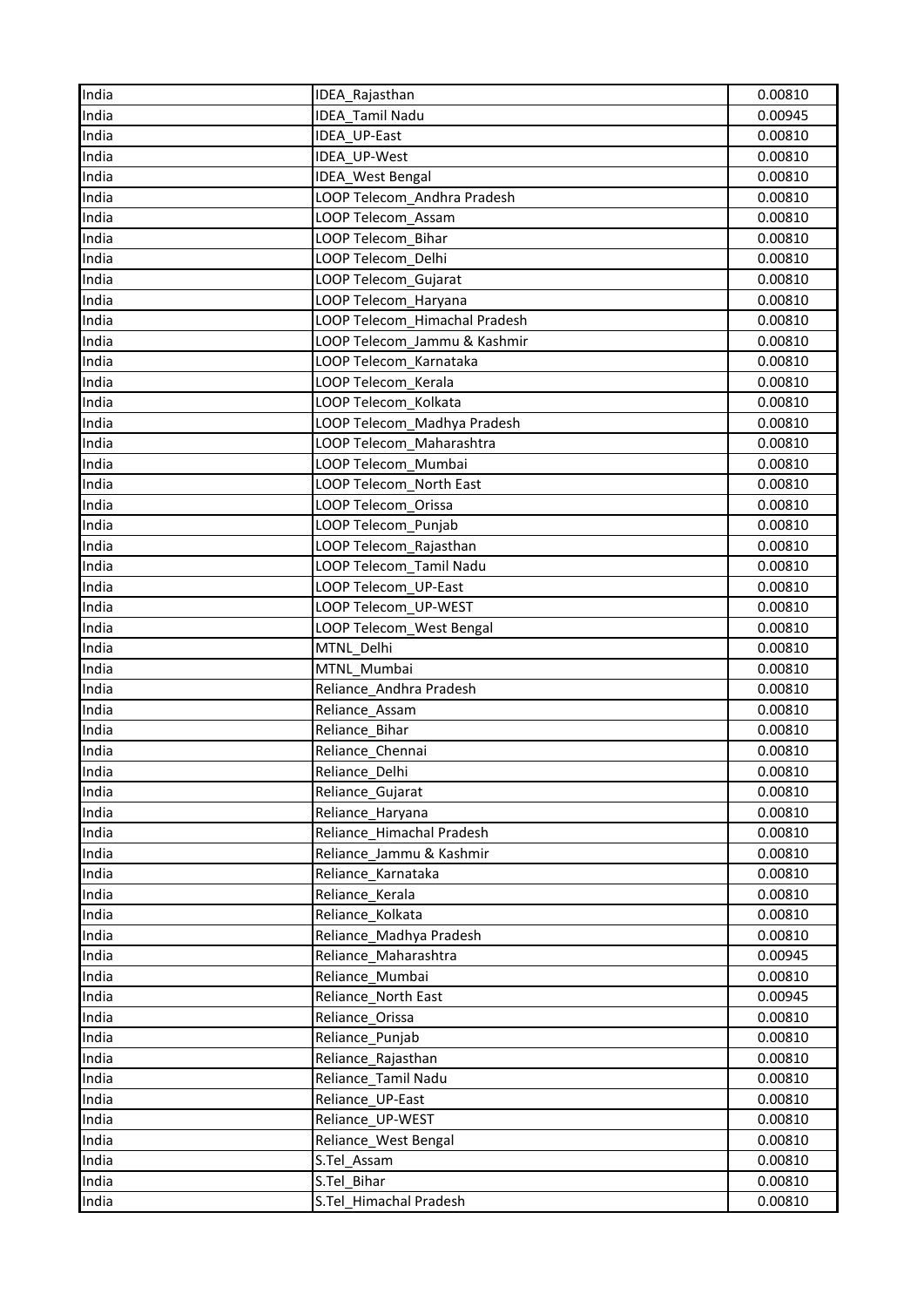| India | IDEA Rajasthan                | 0.00810 |
|-------|-------------------------------|---------|
| India | <b>IDEA Tamil Nadu</b>        | 0.00945 |
| India | IDEA UP-East                  | 0.00810 |
| India | IDEA UP-West                  | 0.00810 |
| India | <b>IDEA</b> West Bengal       | 0.00810 |
| India | LOOP Telecom Andhra Pradesh   | 0.00810 |
| India | LOOP Telecom Assam            | 0.00810 |
| India | LOOP Telecom Bihar            | 0.00810 |
| India | LOOP Telecom Delhi            | 0.00810 |
| India | LOOP Telecom Gujarat          | 0.00810 |
| India | LOOP Telecom_Haryana          | 0.00810 |
| India | LOOP Telecom Himachal Pradesh | 0.00810 |
| India | LOOP Telecom Jammu & Kashmir  | 0.00810 |
| India | LOOP Telecom Karnataka        | 0.00810 |
| India | LOOP Telecom Kerala           | 0.00810 |
| India | LOOP Telecom Kolkata          | 0.00810 |
| India | LOOP Telecom_Madhya Pradesh   | 0.00810 |
| India | LOOP Telecom Maharashtra      | 0.00810 |
| India | LOOP Telecom Mumbai           | 0.00810 |
| India | LOOP Telecom North East       | 0.00810 |
| India | LOOP Telecom Orissa           | 0.00810 |
| India | LOOP Telecom Punjab           | 0.00810 |
| India | LOOP Telecom Rajasthan        | 0.00810 |
| India | LOOP Telecom Tamil Nadu       | 0.00810 |
| India | LOOP Telecom UP-East          | 0.00810 |
| India | LOOP Telecom UP-WEST          | 0.00810 |
| India | LOOP Telecom_West Bengal      | 0.00810 |
| India | MTNL Delhi                    | 0.00810 |
| India | MTNL Mumbai                   | 0.00810 |
| India | Reliance Andhra Pradesh       | 0.00810 |
| India | Reliance Assam                | 0.00810 |
| India | Reliance Bihar                | 0.00810 |
| India | Reliance Chennai              | 0.00810 |
| India | Reliance Delhi                | 0.00810 |
| India | Reliance_Gujarat              | 0.00810 |
| India | Reliance Haryana              | 0.00810 |
| India | Reliance Himachal Pradesh     | 0.00810 |
| India | Reliance Jammu & Kashmir      | 0.00810 |
| India | Reliance Karnataka            | 0.00810 |
| India | Reliance Kerala               | 0.00810 |
| India | Reliance Kolkata              | 0.00810 |
| India | Reliance Madhya Pradesh       | 0.00810 |
| India | Reliance Maharashtra          | 0.00945 |
| India | Reliance_Mumbai               | 0.00810 |
| India | Reliance North East           | 0.00945 |
| India | Reliance Orissa               | 0.00810 |
| India | Reliance Punjab               | 0.00810 |
| India | Reliance Rajasthan            | 0.00810 |
| India | Reliance Tamil Nadu           | 0.00810 |
| India | Reliance UP-East              | 0.00810 |
| India | Reliance UP-WEST              | 0.00810 |
| India | Reliance_West Bengal          | 0.00810 |
| India | S.Tel Assam                   | 0.00810 |
| India | S.Tel Bihar                   | 0.00810 |
| India | S.Tel Himachal Pradesh        | 0.00810 |
|       |                               |         |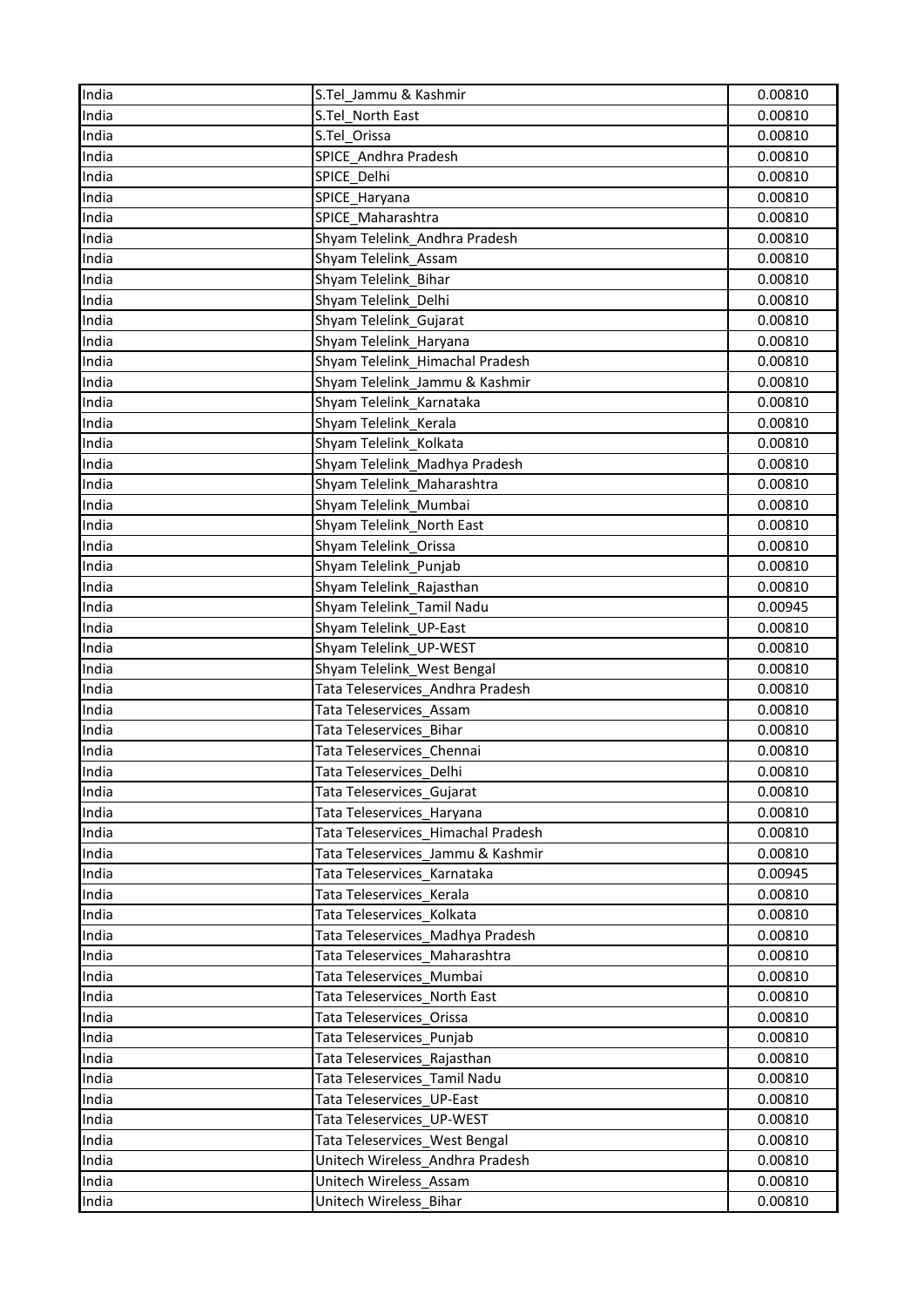| India | S.Tel Jammu & Kashmir                                     | 0.00810 |
|-------|-----------------------------------------------------------|---------|
| India | S.Tel North East                                          | 0.00810 |
| India | S.Tel Orissa                                              | 0.00810 |
| India | SPICE Andhra Pradesh                                      | 0.00810 |
| India | SPICE Delhi                                               | 0.00810 |
| India | SPICE_Haryana                                             | 0.00810 |
| India | SPICE Maharashtra                                         | 0.00810 |
| India | Shyam Telelink Andhra Pradesh                             | 0.00810 |
| India | Shyam Telelink Assam                                      | 0.00810 |
| India | Shyam Telelink Bihar                                      | 0.00810 |
| India | Shyam Telelink Delhi                                      | 0.00810 |
| India | Shyam Telelink Gujarat                                    | 0.00810 |
| India | Shyam Telelink Haryana                                    | 0.00810 |
| India | Shyam Telelink_Himachal Pradesh                           | 0.00810 |
| India | Shyam Telelink Jammu & Kashmir                            | 0.00810 |
| India | Shyam Telelink Karnataka                                  | 0.00810 |
| India | Shyam Telelink_Kerala                                     | 0.00810 |
| India | Shyam Telelink Kolkata                                    | 0.00810 |
| India | Shyam Telelink Madhya Pradesh                             | 0.00810 |
| India | Shyam Telelink Maharashtra                                | 0.00810 |
| India | Shyam Telelink Mumbai                                     | 0.00810 |
| India | Shyam Telelink North East                                 | 0.00810 |
| India | Shyam Telelink Orissa                                     | 0.00810 |
| India | Shyam Telelink_Punjab                                     | 0.00810 |
| India | Shyam Telelink_Rajasthan                                  | 0.00810 |
| India | Shyam Telelink Tamil Nadu                                 | 0.00945 |
| India | Shyam Telelink UP-East                                    | 0.00810 |
| India | Shyam Telelink UP-WEST                                    | 0.00810 |
| India | Shyam Telelink West Bengal                                | 0.00810 |
| India | Tata Teleservices Andhra Pradesh                          | 0.00810 |
| India | Tata Teleservices Assam                                   | 0.00810 |
| India | Tata Teleservices Bihar                                   | 0.00810 |
| India | Tata Teleservices Chennai                                 | 0.00810 |
| India | Tata Teleservices Delhi                                   | 0.00810 |
| India | Tata Teleservices_Gujarat                                 | 0.00810 |
| India | Tata Teleservices Haryana                                 | 0.00810 |
| India | Tata Teleservices Himachal Pradesh                        | 0.00810 |
| India | Tata Teleservices Jammu & Kashmir                         | 0.00810 |
| India | Tata Teleservices Karnataka                               | 0.00945 |
| India |                                                           | 0.00810 |
| India | Tata Teleservices_Kerala<br>Tata Teleservices Kolkata     |         |
|       |                                                           | 0.00810 |
| India | Tata Teleservices_Madhya Pradesh                          | 0.00810 |
| India | Tata Teleservices Maharashtra<br>Tata Teleservices Mumbai | 0.00810 |
| India |                                                           | 0.00810 |
| India | Tata Teleservices North East                              | 0.00810 |
| India | Tata Teleservices Orissa                                  | 0.00810 |
| India | Tata Teleservices Punjab                                  | 0.00810 |
| India | Tata Teleservices_Rajasthan                               | 0.00810 |
| India | Tata Teleservices_Tamil Nadu                              | 0.00810 |
| India | Tata Teleservices UP-East                                 | 0.00810 |
| India | Tata Teleservices UP-WEST                                 | 0.00810 |
| India | Tata Teleservices_West Bengal                             | 0.00810 |
| India | Unitech Wireless Andhra Pradesh                           | 0.00810 |
| India | Unitech Wireless Assam                                    | 0.00810 |
| India | Unitech Wireless Bihar                                    | 0.00810 |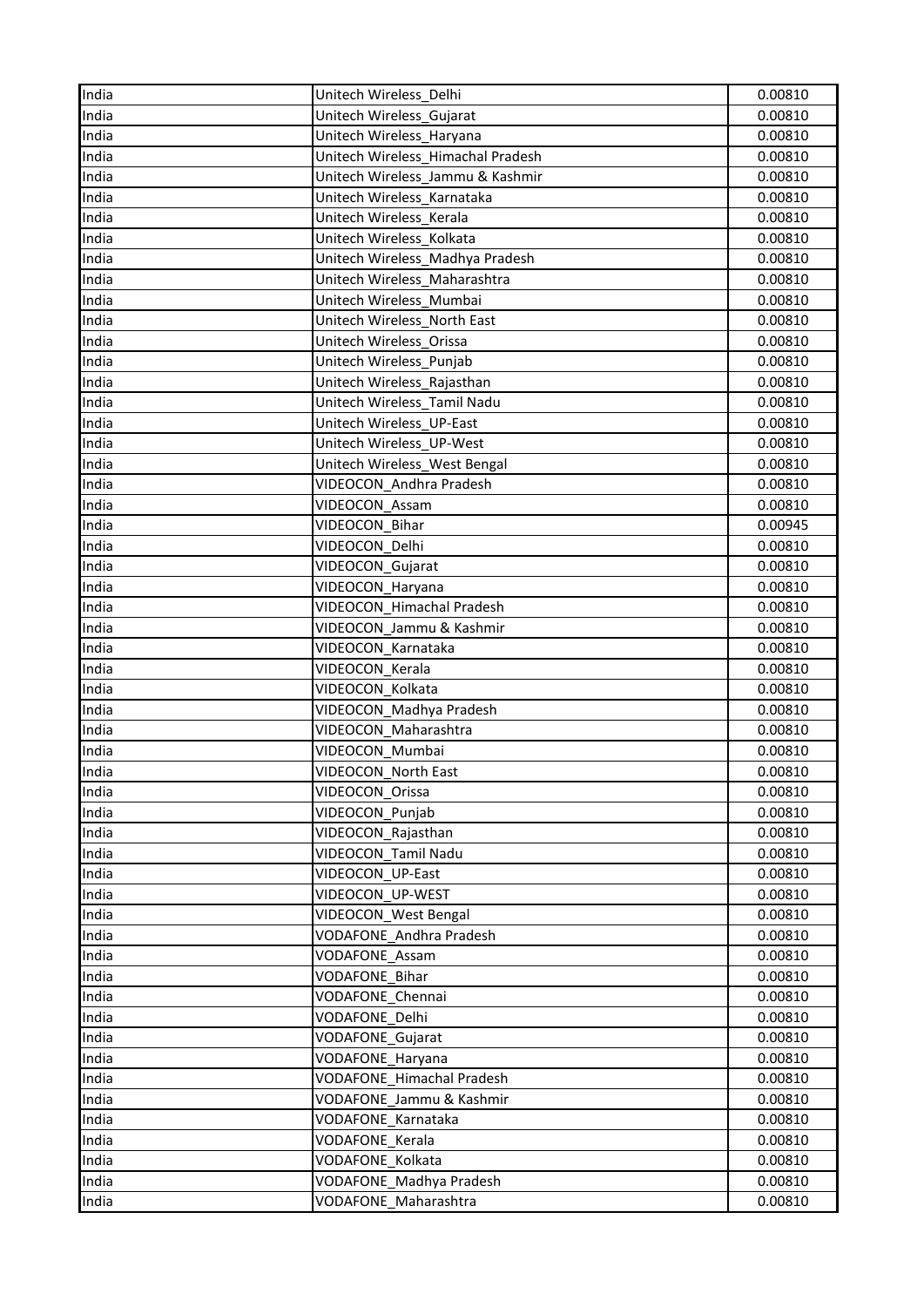| India | Unitech Wireless Delhi            | 0.00810 |
|-------|-----------------------------------|---------|
| India | Unitech Wireless Gujarat          | 0.00810 |
| India | Unitech Wireless Haryana          | 0.00810 |
| India | Unitech Wireless Himachal Pradesh | 0.00810 |
| India | Unitech Wireless Jammu & Kashmir  | 0.00810 |
| India | Unitech Wireless_Karnataka        | 0.00810 |
| India | Unitech Wireless Kerala           | 0.00810 |
| India | Unitech Wireless Kolkata          | 0.00810 |
| India | Unitech Wireless Madhya Pradesh   | 0.00810 |
| India | Unitech Wireless Maharashtra      | 0.00810 |
| India | Unitech Wireless Mumbai           | 0.00810 |
| India | Unitech Wireless North East       | 0.00810 |
| India | Unitech Wireless Orissa           | 0.00810 |
| India | Unitech Wireless Punjab           | 0.00810 |
| India | Unitech Wireless Rajasthan        | 0.00810 |
| India | Unitech Wireless Tamil Nadu       | 0.00810 |
| India | Unitech Wireless UP-East          | 0.00810 |
| India | Unitech Wireless_UP-West          | 0.00810 |
| India | Unitech Wireless West Bengal      | 0.00810 |
| India | VIDEOCON Andhra Pradesh           | 0.00810 |
| India | VIDEOCON Assam                    | 0.00810 |
| India | VIDEOCON Bihar                    | 0.00945 |
| India | VIDEOCON Delhi                    | 0.00810 |
| India | VIDEOCON Gujarat                  | 0.00810 |
| India | VIDEOCON Haryana                  | 0.00810 |
| India | VIDEOCON Himachal Pradesh         | 0.00810 |
| India | VIDEOCON Jammu & Kashmir          | 0.00810 |
| India | VIDEOCON Karnataka                | 0.00810 |
| India | VIDEOCON Kerala                   | 0.00810 |
| India | VIDEOCON Kolkata                  | 0.00810 |
| India | VIDEOCON Madhya Pradesh           | 0.00810 |
| India | VIDEOCON Maharashtra              | 0.00810 |
| India | VIDEOCON Mumbai                   | 0.00810 |
| India | <b>VIDEOCON North East</b>        | 0.00810 |
| India | VIDEOCON Orissa                   | 0.00810 |
| India | VIDEOCON Punjab                   | 0.00810 |
| India | VIDEOCON_Rajasthan                | 0.00810 |
| India | VIDEOCON Tamil Nadu               | 0.00810 |
| India | VIDEOCON UP-East                  | 0.00810 |
| India | VIDEOCON UP-WEST                  | 0.00810 |
| India | <b>VIDEOCON West Bengal</b>       | 0.00810 |
| India | VODAFONE Andhra Pradesh           | 0.00810 |
| India | <b>VODAFONE Assam</b>             | 0.00810 |
| India | VODAFONE Bihar                    | 0.00810 |
| India | VODAFONE Chennai                  | 0.00810 |
| India | VODAFONE Delhi                    | 0.00810 |
| India | <b>VODAFONE Gujarat</b>           | 0.00810 |
| India | VODAFONE Haryana                  | 0.00810 |
| India | VODAFONE Himachal Pradesh         | 0.00810 |
| India | VODAFONE Jammu & Kashmir          | 0.00810 |
| India | VODAFONE Karnataka                | 0.00810 |
| India | <b>VODAFONE Kerala</b>            | 0.00810 |
| India | VODAFONE Kolkata                  | 0.00810 |
| India | VODAFONE Madhya Pradesh           | 0.00810 |
|       |                                   |         |
| India | VODAFONE Maharashtra              | 0.00810 |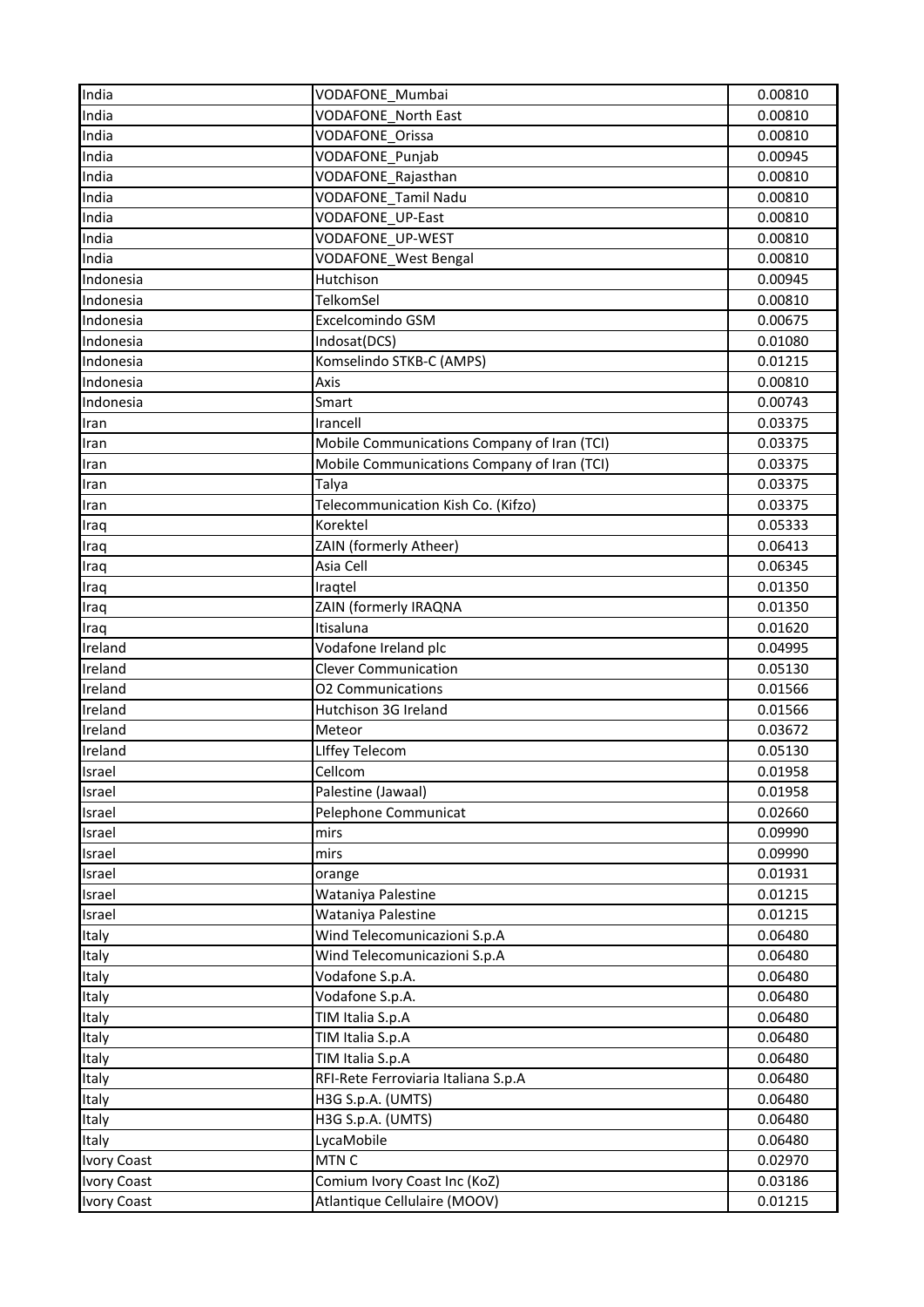| India              | VODAFONE Mumbai                             | 0.00810 |
|--------------------|---------------------------------------------|---------|
| India              | <b>VODAFONE North East</b>                  | 0.00810 |
| India              | <b>VODAFONE Orissa</b>                      | 0.00810 |
| India              | <b>VODAFONE Punjab</b>                      | 0.00945 |
| India              | VODAFONE Rajasthan                          | 0.00810 |
| India              | <b>VODAFONE Tamil Nadu</b>                  | 0.00810 |
| India              | <b>VODAFONE UP-East</b>                     | 0.00810 |
| India              | <b>VODAFONE UP-WEST</b>                     | 0.00810 |
| India              | <b>VODAFONE</b> West Bengal                 | 0.00810 |
| Indonesia          | Hutchison                                   | 0.00945 |
| Indonesia          | TelkomSel                                   | 0.00810 |
| Indonesia          | Excelcomindo GSM                            | 0.00675 |
| Indonesia          | Indosat(DCS)                                | 0.01080 |
| Indonesia          | Komselindo STKB-C (AMPS)                    | 0.01215 |
| Indonesia          | Axis                                        | 0.00810 |
| Indonesia          | Smart                                       | 0.00743 |
| Iran               | Irancell                                    | 0.03375 |
| Iran               | Mobile Communications Company of Iran (TCI) | 0.03375 |
| Iran               | Mobile Communications Company of Iran (TCI) | 0.03375 |
| Iran               | Talya                                       | 0.03375 |
| Iran               | Telecommunication Kish Co. (Kifzo)          | 0.03375 |
| Iraq               | Korektel                                    | 0.05333 |
| Iraq               | ZAIN (formerly Atheer)                      | 0.06413 |
| Iraq               | Asia Cell                                   | 0.06345 |
| Iraq               | Iraqtel                                     | 0.01350 |
| Iraq               | ZAIN (formerly IRAQNA                       | 0.01350 |
|                    | Itisaluna                                   | 0.01620 |
| Iraq<br>Ireland    | Vodafone Ireland plc                        | 0.04995 |
| Ireland            | <b>Clever Communication</b>                 | 0.05130 |
| Ireland            | <b>02 Communications</b>                    | 0.01566 |
|                    |                                             |         |
| Ireland            | Hutchison 3G Ireland                        | 0.01566 |
| Ireland            | Meteor                                      | 0.03672 |
| Ireland            | LIffey Telecom<br>Cellcom                   | 0.05130 |
| Israel             |                                             | 0.01958 |
| Israel             | Palestine (Jawaal)                          | 0.01958 |
| Israel             | Pelephone Communicat                        | 0.02660 |
| Israel             | mirs                                        | 0.09990 |
| Israel             | mirs                                        | 0.09990 |
| Israel             | orange                                      | 0.01931 |
| Israel             | Wataniya Palestine                          | 0.01215 |
| Israel             | Wataniya Palestine                          | 0.01215 |
| Italy              | Wind Telecomunicazioni S.p.A                | 0.06480 |
| Italy              | Wind Telecomunicazioni S.p.A                | 0.06480 |
| Italy              | Vodafone S.p.A.                             | 0.06480 |
| Italy              | Vodafone S.p.A.                             | 0.06480 |
| Italy              | TIM Italia S.p.A                            | 0.06480 |
| Italy              | TIM Italia S.p.A                            | 0.06480 |
| Italy              | TIM Italia S.p.A                            | 0.06480 |
| Italy              | RFI-Rete Ferroviaria Italiana S.p.A         | 0.06480 |
| Italy              | H3G S.p.A. (UMTS)                           | 0.06480 |
| Italy              | H3G S.p.A. (UMTS)                           | 0.06480 |
| Italy              | LycaMobile                                  | 0.06480 |
| <b>Ivory Coast</b> | MTN C                                       | 0.02970 |
| <b>Ivory Coast</b> | Comium Ivory Coast Inc (KoZ)                | 0.03186 |
| <b>Ivory Coast</b> | Atlantique Cellulaire (MOOV)                | 0.01215 |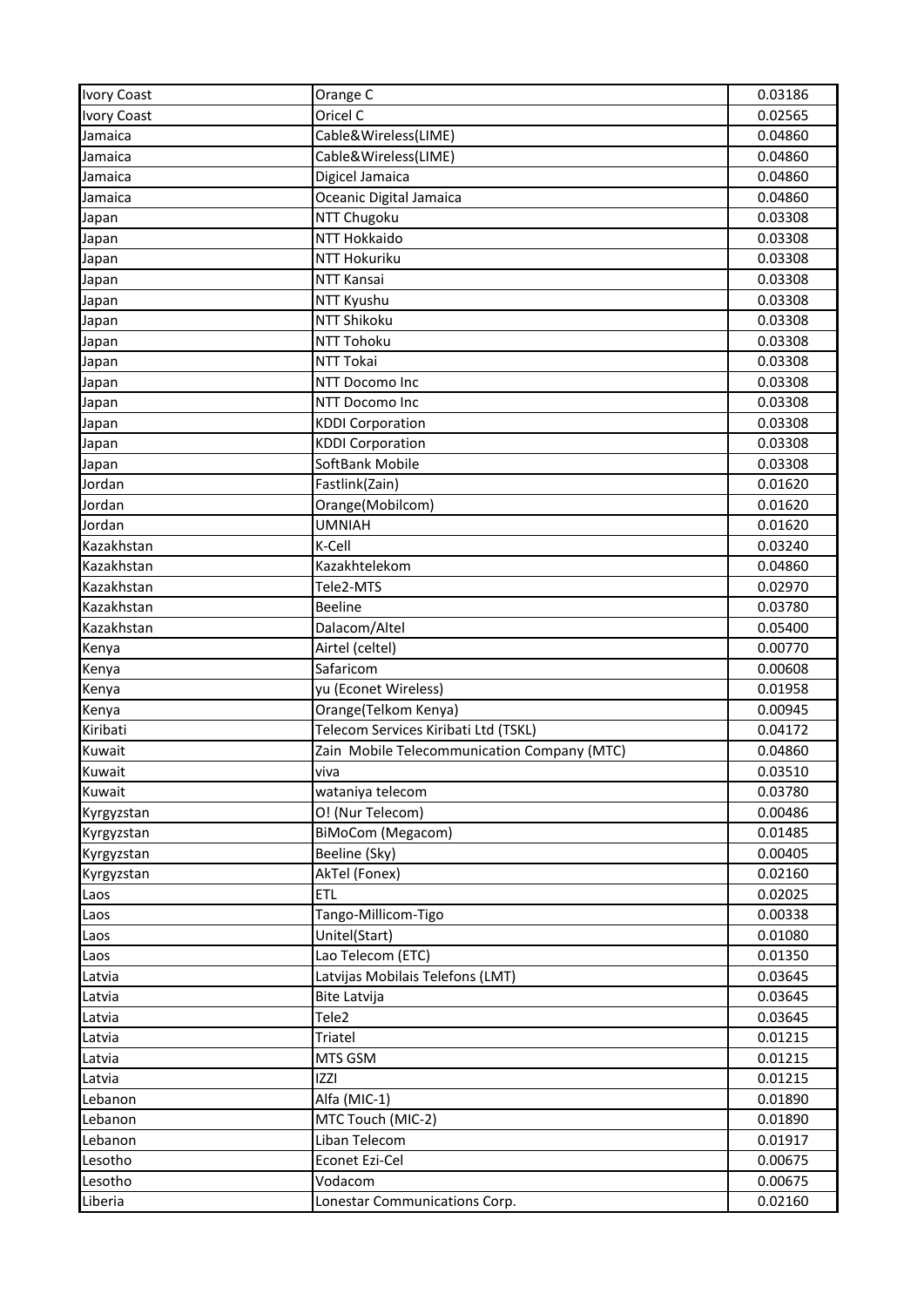| <b>Ivory Coast</b> | Orange C                                                     | 0.03186            |
|--------------------|--------------------------------------------------------------|--------------------|
| <b>Ivory Coast</b> | Oricel C                                                     | 0.02565            |
| Jamaica            | Cable&Wireless(LIME)                                         | 0.04860            |
| Jamaica            | Cable&Wireless(LIME)                                         | 0.04860            |
| Jamaica            | Digicel Jamaica                                              | 0.04860            |
| Jamaica            | Oceanic Digital Jamaica                                      | 0.04860            |
| Japan              | NTT Chugoku                                                  | 0.03308            |
| Japan              | NTT Hokkaido                                                 | 0.03308            |
| Japan              | <b>NTT Hokuriku</b>                                          | 0.03308            |
| Japan              | NTT Kansai                                                   | 0.03308            |
| Japan              | NTT Kyushu                                                   | 0.03308            |
| Japan              | <b>NTT Shikoku</b>                                           | 0.03308            |
| Japan              | <b>NTT Tohoku</b>                                            | 0.03308            |
| Japan              | NTT Tokai                                                    | 0.03308            |
| Japan              | NTT Docomo Inc                                               | 0.03308            |
| Japan              | NTT Docomo Inc                                               | 0.03308            |
| Japan              | <b>KDDI Corporation</b>                                      | 0.03308            |
| Japan              | <b>KDDI Corporation</b>                                      | 0.03308            |
| Japan              | SoftBank Mobile                                              | 0.03308            |
| Jordan             | Fastlink(Zain)                                               | 0.01620            |
| Jordan             | Orange(Mobilcom)                                             | 0.01620            |
| Jordan             | <b>UMNIAH</b>                                                | 0.01620            |
| Kazakhstan         | K-Cell                                                       | 0.03240            |
| Kazakhstan         | Kazakhtelekom                                                | 0.04860            |
| Kazakhstan         | Tele2-MTS                                                    | 0.02970            |
| Kazakhstan         | <b>Beeline</b>                                               | 0.03780            |
| Kazakhstan         | Dalacom/Altel                                                | 0.05400            |
| Kenya              | Airtel (celtel)                                              | 0.00770            |
| Kenya              | Safaricom                                                    | 0.00608            |
| Kenya              | yu (Econet Wireless)                                         | 0.01958            |
|                    |                                                              |                    |
| Kenya<br>Kiribati  | Orange(Telkom Kenya)<br>Telecom Services Kiribati Ltd (TSKL) | 0.00945<br>0.04172 |
| Kuwait             | Zain Mobile Telecommunication Company (MTC)                  | 0.04860            |
| Kuwait             | viva                                                         | 0.03510            |
| Kuwait             |                                                              |                    |
|                    | wataniya telecom                                             | 0.03780            |
| Kyrgyzstan         | O! (Nur Telecom)                                             | 0.00486            |
| Kyrgyzstan         | BiMoCom (Megacom)                                            | 0.01485            |
| Kyrgyzstan         | Beeline (Sky)                                                | 0.00405            |
| Kyrgyzstan         | AkTel (Fonex)                                                | 0.02160            |
| Laos               | <b>ETL</b>                                                   | 0.02025            |
| Laos               | Tango-Millicom-Tigo                                          | 0.00338            |
| Laos               | Unitel(Start)                                                | 0.01080            |
| Laos               | Lao Telecom (ETC)                                            | 0.01350            |
| Latvia             | Latvijas Mobilais Telefons (LMT)                             | 0.03645            |
| Latvia             | <b>Bite Latvija</b>                                          | 0.03645            |
| Latvia             | Tele2                                                        | 0.03645            |
| Latvia             | Triatel                                                      | 0.01215            |
| Latvia             | MTS GSM                                                      | 0.01215            |
| Latvia             | <b>IZZI</b>                                                  | 0.01215            |
| Lebanon            | Alfa (MIC-1)                                                 | 0.01890            |
| Lebanon            | MTC Touch (MIC-2)                                            | 0.01890            |
| Lebanon            | Liban Telecom                                                | 0.01917            |
| Lesotho            | Econet Ezi-Cel                                               | 0.00675            |
| Lesotho            | Vodacom                                                      | 0.00675            |
| Liberia            | Lonestar Communications Corp.                                | 0.02160            |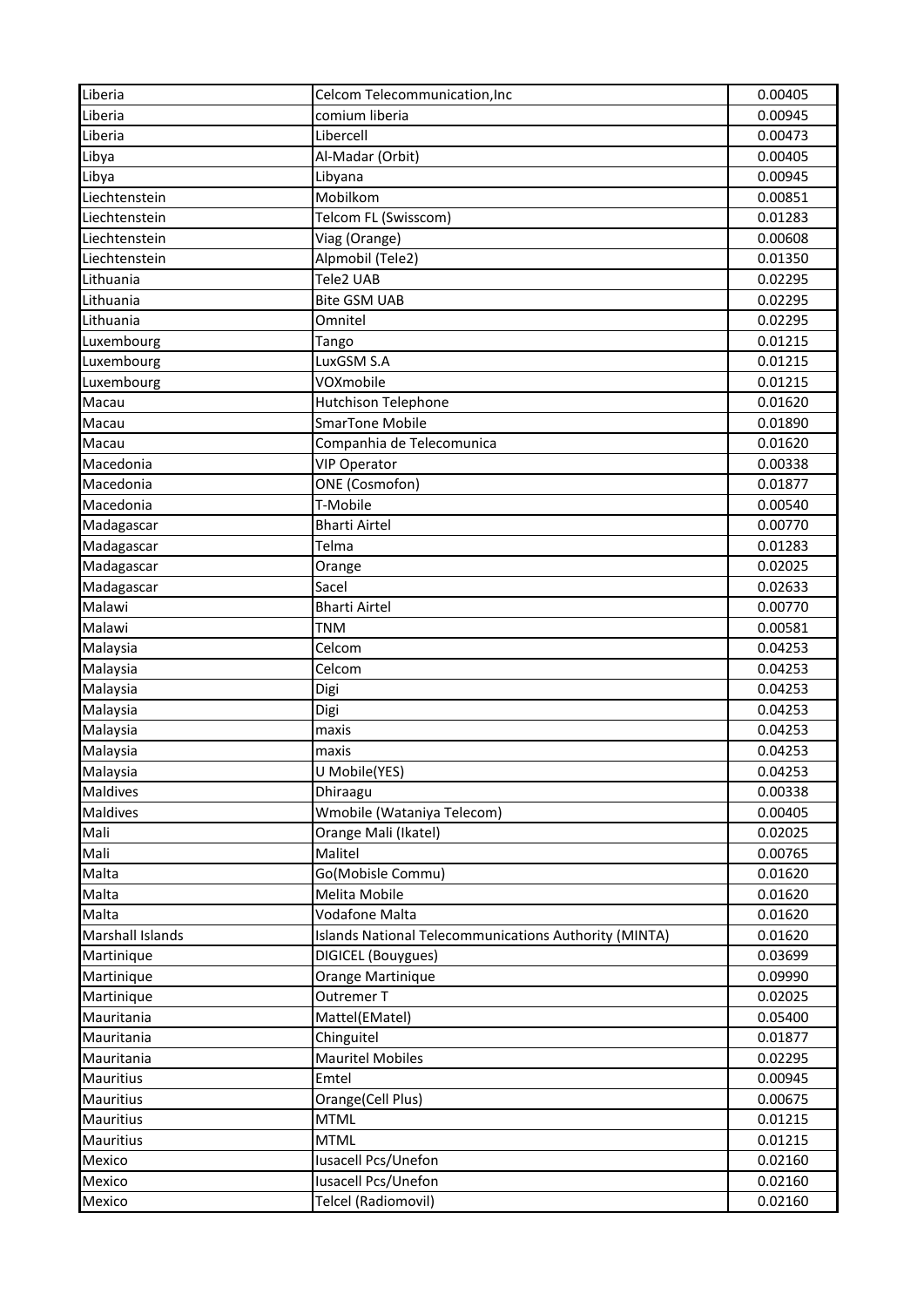| Liberia                     | Celcom Telecommunication, Inc                         | 0.00405            |
|-----------------------------|-------------------------------------------------------|--------------------|
| Liberia                     | comium liberia                                        | 0.00945            |
| Liberia                     | Libercell                                             | 0.00473            |
| Libya                       | Al-Madar (Orbit)                                      | 0.00405            |
| Libya                       | Libyana                                               | 0.00945            |
| Liechtenstein               | Mobilkom                                              | 0.00851            |
| Liechtenstein               | Telcom FL (Swisscom)                                  | 0.01283            |
| Liechtenstein               | Viag (Orange)                                         | 0.00608            |
| Liechtenstein               | Alpmobil (Tele2)                                      | 0.01350            |
| Lithuania                   | Tele2 UAB                                             | 0.02295            |
| Lithuania                   | <b>Bite GSM UAB</b>                                   | 0.02295            |
| Lithuania                   | Omnitel                                               | 0.02295            |
| Luxembourg                  | Tango                                                 | 0.01215            |
| Luxembourg                  | LuxGSM S.A                                            | 0.01215            |
| Luxembourg                  | VOXmobile                                             | 0.01215            |
| Macau                       | Hutchison Telephone                                   | 0.01620            |
| Macau                       | <b>SmarTone Mobile</b>                                | 0.01890            |
| Macau                       | Companhia de Telecomunica                             | 0.01620            |
| Macedonia                   | <b>VIP Operator</b>                                   | 0.00338            |
| Macedonia                   | ONE (Cosmofon)                                        | 0.01877            |
| Macedonia                   | T-Mobile                                              | 0.00540            |
| Madagascar                  | <b>Bharti Airtel</b>                                  | 0.00770            |
| Madagascar                  | Telma                                                 | 0.01283            |
| Madagascar                  | Orange                                                | 0.02025            |
| Madagascar                  | Sacel                                                 | 0.02633            |
| Malawi                      | <b>Bharti Airtel</b>                                  | 0.00770            |
| Malawi                      | <b>TNM</b>                                            |                    |
| Malaysia                    | Celcom                                                | 0.00581<br>0.04253 |
| Malaysia                    | Celcom                                                | 0.04253            |
| Malaysia                    |                                                       | 0.04253            |
| Malaysia                    | Digi                                                  | 0.04253            |
|                             | Digi                                                  |                    |
| Malaysia                    | maxis                                                 | 0.04253            |
| Malaysia                    | maxis                                                 | 0.04253            |
| Malaysia<br><b>Maldives</b> | U Mobile(YES)                                         | 0.04253            |
|                             | Dhiraagu                                              | 0.00338            |
| <b>Maldives</b>             | Wmobile (Wataniya Telecom)                            | 0.00405            |
| Mali                        | Orange Mali (Ikatel)                                  | 0.02025            |
| Mali                        | Malitel                                               | 0.00765            |
| Malta                       | Go(Mobisle Commu)                                     | 0.01620            |
| Malta                       | Melita Mobile                                         | 0.01620            |
| Malta                       | Vodafone Malta                                        | 0.01620            |
| Marshall Islands            | Islands National Telecommunications Authority (MINTA) | 0.01620            |
| Martinique                  | DIGICEL (Bouygues)                                    | 0.03699            |
| Martinique                  | Orange Martinique                                     | 0.09990            |
| Martinique                  | Outremer T                                            | 0.02025            |
| Mauritania                  | Mattel(EMatel)                                        | 0.05400            |
| Mauritania                  | Chinguitel                                            | 0.01877            |
| Mauritania                  | <b>Mauritel Mobiles</b>                               | 0.02295            |
| <b>Mauritius</b>            | Emtel                                                 | 0.00945            |
| Mauritius                   | Orange(Cell Plus)                                     | 0.00675            |
| Mauritius                   | <b>MTML</b>                                           | 0.01215            |
| Mauritius                   | <b>MTML</b>                                           | 0.01215            |
| Mexico                      | Iusacell Pcs/Unefon                                   | 0.02160            |
| Mexico                      | Iusacell Pcs/Unefon                                   | 0.02160            |
| Mexico                      | Telcel (Radiomovil)                                   | 0.02160            |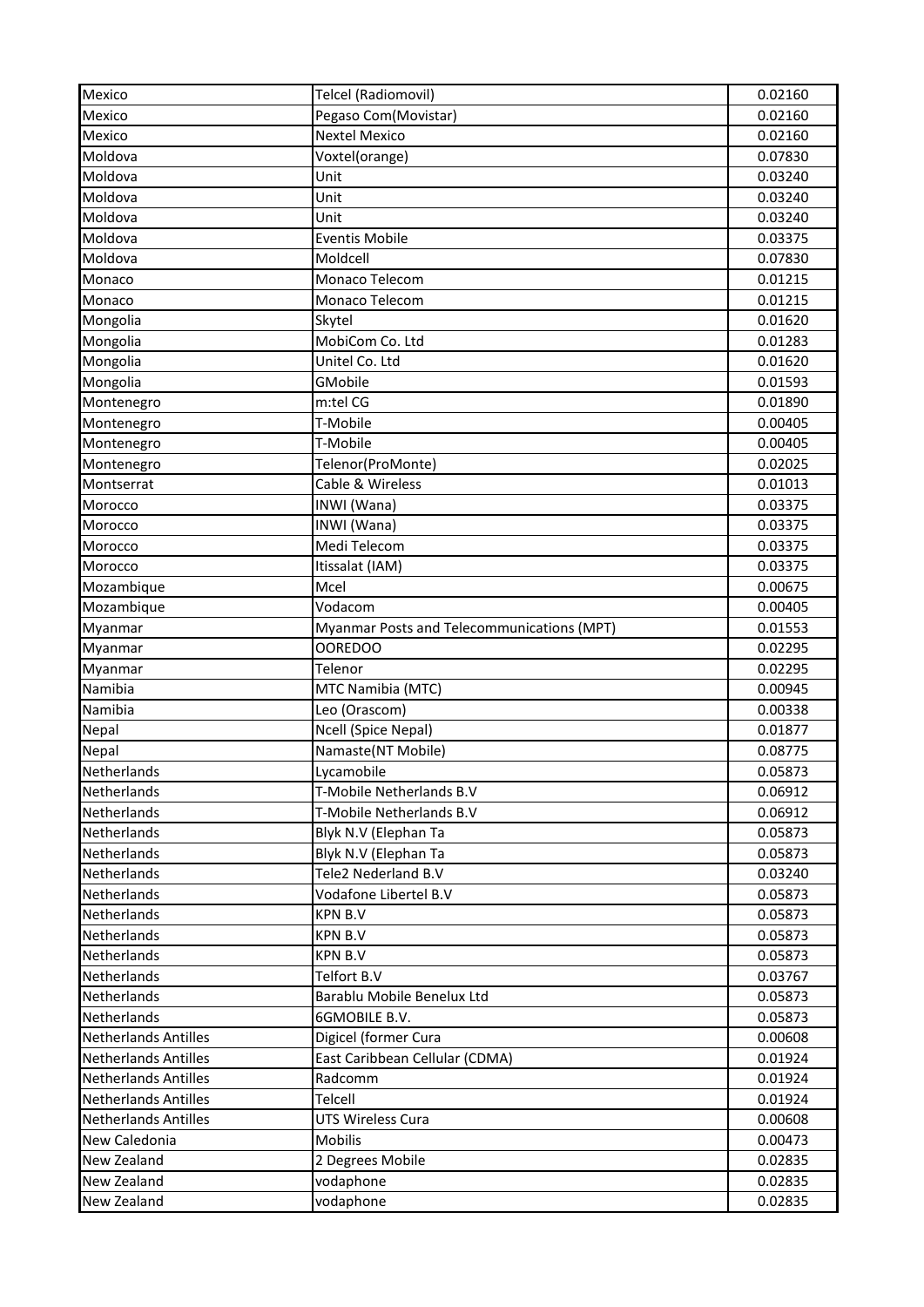| Mexico                      | Telcel (Radiomovil)                         | 0.02160 |
|-----------------------------|---------------------------------------------|---------|
| Mexico                      | Pegaso Com(Movistar)                        | 0.02160 |
| Mexico                      | <b>Nextel Mexico</b>                        | 0.02160 |
| Moldova                     | Voxtel(orange)                              | 0.07830 |
| Moldova                     | Unit                                        | 0.03240 |
| Moldova                     | Unit                                        | 0.03240 |
| Moldova                     | Unit                                        | 0.03240 |
| Moldova                     | <b>Eventis Mobile</b>                       | 0.03375 |
| Moldova                     | Moldcell                                    | 0.07830 |
| Monaco                      | Monaco Telecom                              | 0.01215 |
| Monaco                      | Monaco Telecom                              | 0.01215 |
| Mongolia                    | Skytel                                      | 0.01620 |
| Mongolia                    | MobiCom Co. Ltd                             | 0.01283 |
| Mongolia                    | Unitel Co. Ltd                              | 0.01620 |
| Mongolia                    | GMobile                                     | 0.01593 |
| Montenegro                  | m:tel CG                                    | 0.01890 |
| Montenegro                  | T-Mobile                                    | 0.00405 |
| Montenegro                  | T-Mobile                                    | 0.00405 |
| Montenegro                  | Telenor(ProMonte)                           | 0.02025 |
| Montserrat                  | Cable & Wireless                            | 0.01013 |
| Morocco                     | INWI (Wana)                                 | 0.03375 |
| Morocco                     | INWI (Wana)                                 | 0.03375 |
| Morocco                     | Medi Telecom                                | 0.03375 |
| Morocco                     | Itissalat (IAM)                             | 0.03375 |
| Mozambique                  | Mcel                                        | 0.00675 |
| Mozambique                  | Vodacom                                     | 0.00405 |
| Myanmar                     | Myanmar Posts and Telecommunications (MPT)  | 0.01553 |
| Myanmar                     | <b>OOREDOO</b>                              | 0.02295 |
| Myanmar                     | Telenor                                     | 0.02295 |
| Namibia                     | MTC Namibia (MTC)                           | 0.00945 |
| Namibia                     | Leo (Orascom)                               | 0.00338 |
| Nepal                       | <b>Ncell (Spice Nepal)</b>                  | 0.01877 |
| Nepal                       | Namaste(NT Mobile)                          | 0.08775 |
| Netherlands                 | Lycamobile                                  | 0.05873 |
| Netherlands                 | T-Mobile Netherlands B.V                    | 0.06912 |
|                             |                                             |         |
| Netherlands                 | T-Mobile Netherlands B.V                    | 0.06912 |
| Netherlands<br>Netherlands  | Blyk N.V (Elephan Ta                        | 0.05873 |
|                             | Blyk N.V (Elephan Ta<br>Tele2 Nederland B.V | 0.05873 |
| Netherlands                 | Vodafone Libertel B.V                       | 0.03240 |
| Netherlands                 |                                             | 0.05873 |
| Netherlands                 | KPN B.V                                     | 0.05873 |
| Netherlands                 | KPN B.V                                     | 0.05873 |
| Netherlands                 | KPN B.V                                     | 0.05873 |
| Netherlands                 | Telfort B.V                                 | 0.03767 |
| Netherlands                 | Barablu Mobile Benelux Ltd                  | 0.05873 |
| Netherlands                 | 6GMOBILE B.V.                               | 0.05873 |
| <b>Netherlands Antilles</b> | Digicel (former Cura                        | 0.00608 |
| <b>Netherlands Antilles</b> | East Caribbean Cellular (CDMA)              | 0.01924 |
| <b>Netherlands Antilles</b> | Radcomm                                     | 0.01924 |
| <b>Netherlands Antilles</b> | Telcell                                     | 0.01924 |
| <b>Netherlands Antilles</b> | <b>UTS Wireless Cura</b>                    | 0.00608 |
| New Caledonia               | Mobilis                                     | 0.00473 |
| New Zealand                 | 2 Degrees Mobile                            | 0.02835 |
| New Zealand                 | vodaphone                                   | 0.02835 |
| New Zealand                 | vodaphone                                   | 0.02835 |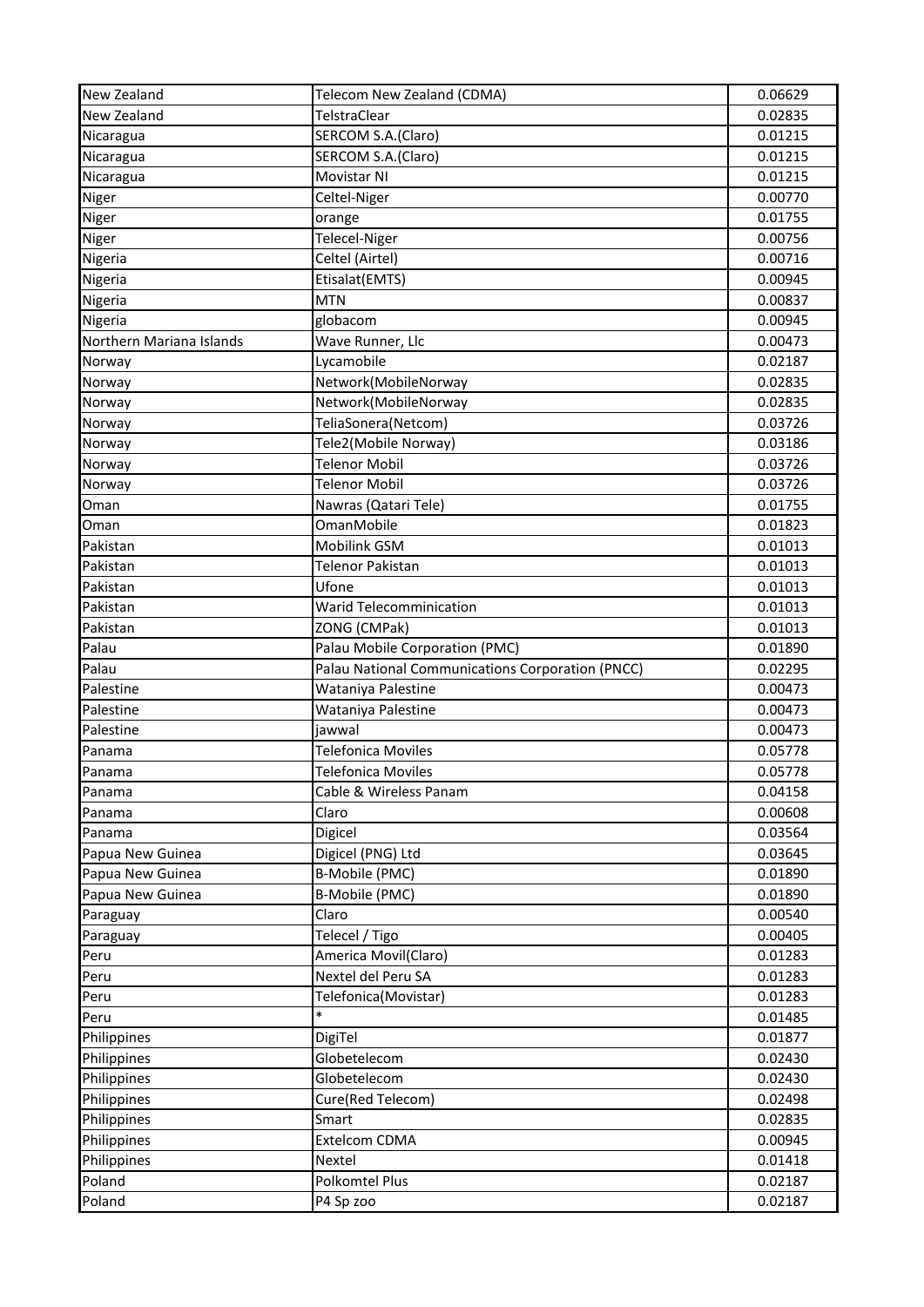| New Zealand              | Telecom New Zealand (CDMA)                       | 0.06629 |
|--------------------------|--------------------------------------------------|---------|
| New Zealand              | TelstraClear                                     | 0.02835 |
| Nicaragua                | SERCOM S.A.(Claro)                               | 0.01215 |
| Nicaragua                | SERCOM S.A.(Claro)                               | 0.01215 |
| Nicaragua                | Movistar NI                                      | 0.01215 |
| Niger                    | Celtel-Niger                                     | 0.00770 |
| Niger                    | orange                                           | 0.01755 |
| Niger                    | Telecel-Niger                                    | 0.00756 |
| Nigeria                  | Celtel (Airtel)                                  | 0.00716 |
| Nigeria                  | Etisalat(EMTS)                                   | 0.00945 |
| Nigeria                  | <b>MTN</b>                                       | 0.00837 |
| Nigeria                  | globacom                                         | 0.00945 |
| Northern Mariana Islands | Wave Runner, Llc                                 | 0.00473 |
| Norway                   | Lycamobile                                       | 0.02187 |
| Norway                   | Network(MobileNorway                             | 0.02835 |
| Norway                   | Network(MobileNorway                             | 0.02835 |
| Norway                   | TeliaSonera(Netcom)                              | 0.03726 |
| Norway                   | Tele2(Mobile Norway)                             | 0.03186 |
| Norway                   | <b>Telenor Mobil</b>                             | 0.03726 |
| Norway                   | <b>Telenor Mobil</b>                             | 0.03726 |
| Oman                     | Nawras (Qatari Tele)                             | 0.01755 |
| Oman                     | OmanMobile                                       | 0.01823 |
| Pakistan                 | Mobilink GSM                                     | 0.01013 |
| Pakistan                 | Telenor Pakistan                                 | 0.01013 |
| Pakistan                 | Ufone                                            | 0.01013 |
| Pakistan                 | Warid Telecomminication                          | 0.01013 |
| Pakistan                 | ZONG (CMPak)                                     | 0.01013 |
| Palau                    | Palau Mobile Corporation (PMC)                   | 0.01890 |
| Palau                    | Palau National Communications Corporation (PNCC) | 0.02295 |
| Palestine                | Wataniya Palestine                               | 0.00473 |
| Palestine                | Wataniya Palestine                               | 0.00473 |
| Palestine                | jawwal                                           | 0.00473 |
| Panama                   | Telefonica Moviles                               | 0.05778 |
| Panama                   | <b>Telefonica Moviles</b>                        | 0.05778 |
| Panama                   | Cable & Wireless Panam                           | 0.04158 |
| Panama                   | Claro                                            | 0.00608 |
| Panama                   | Digicel                                          | 0.03564 |
| Papua New Guinea         | Digicel (PNG) Ltd                                | 0.03645 |
| Papua New Guinea         | <b>B-Mobile (PMC)</b>                            | 0.01890 |
| Papua New Guinea         | <b>B-Mobile (PMC)</b>                            | 0.01890 |
| Paraguay                 | Claro                                            | 0.00540 |
| Paraguay                 | Telecel / Tigo                                   | 0.00405 |
| Peru                     | America Movil(Claro)                             | 0.01283 |
| Peru                     | Nextel del Peru SA                               | 0.01283 |
| Peru                     | Telefonica (Movistar)                            | 0.01283 |
| Peru                     |                                                  | 0.01485 |
| Philippines              | DigiTel                                          | 0.01877 |
| Philippines              | Globetelecom                                     | 0.02430 |
| Philippines              | Globetelecom                                     | 0.02430 |
| Philippines              | Cure(Red Telecom)                                | 0.02498 |
| Philippines              | Smart                                            | 0.02835 |
| Philippines              | <b>Extelcom CDMA</b>                             | 0.00945 |
| Philippines              | Nextel                                           | 0.01418 |
| Poland                   | <b>Polkomtel Plus</b>                            | 0.02187 |
| Poland                   | P4 Sp zoo                                        | 0.02187 |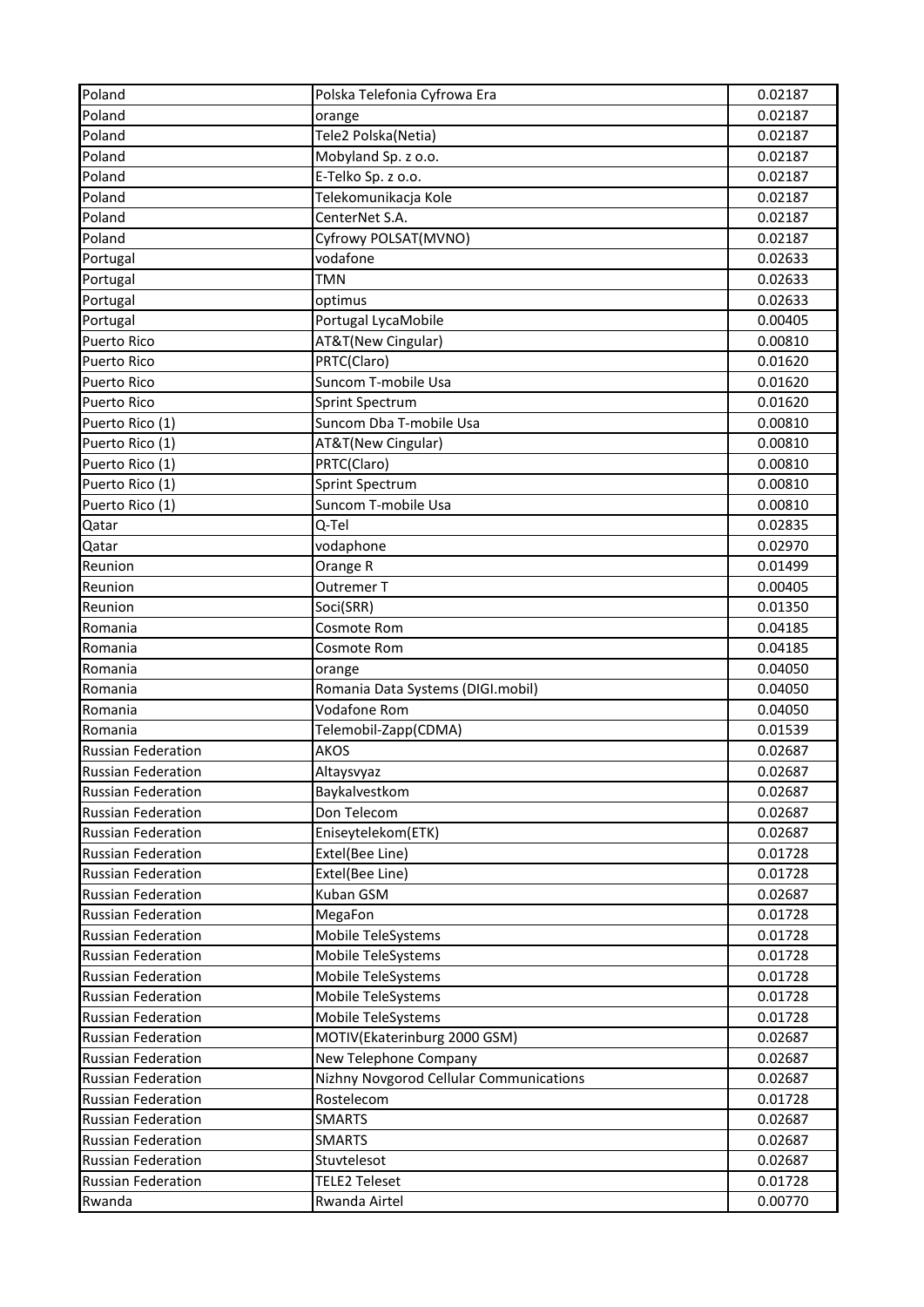| Poland                    | Polska Telefonia Cyfrowa Era            | 0.02187 |
|---------------------------|-----------------------------------------|---------|
| Poland                    | orange                                  | 0.02187 |
| Poland                    | Tele2 Polska(Netia)                     | 0.02187 |
| Poland                    | Mobyland Sp. z o.o.                     | 0.02187 |
| Poland                    | E-Telko Sp. z o.o.                      | 0.02187 |
| Poland                    | Telekomunikacja Kole                    | 0.02187 |
| Poland                    | CenterNet S.A.                          | 0.02187 |
| Poland                    | Cyfrowy POLSAT(MVNO)                    | 0.02187 |
| Portugal                  | vodafone                                | 0.02633 |
| Portugal                  | <b>TMN</b>                              | 0.02633 |
| Portugal                  | optimus                                 | 0.02633 |
| Portugal                  | Portugal LycaMobile                     | 0.00405 |
| Puerto Rico               | AT&T(New Cingular)                      | 0.00810 |
| Puerto Rico               | PRTC(Claro)                             | 0.01620 |
| Puerto Rico               | Suncom T-mobile Usa                     | 0.01620 |
| <b>Puerto Rico</b>        | Sprint Spectrum                         | 0.01620 |
| Puerto Rico (1)           | Suncom Dba T-mobile Usa                 | 0.00810 |
| Puerto Rico (1)           | AT&T(New Cingular)                      | 0.00810 |
| Puerto Rico (1)           | PRTC(Claro)                             | 0.00810 |
| Puerto Rico (1)           | Sprint Spectrum                         | 0.00810 |
| Puerto Rico (1)           | Suncom T-mobile Usa                     | 0.00810 |
| Qatar                     | Q-Tel                                   | 0.02835 |
| Qatar                     | vodaphone                               | 0.02970 |
| Reunion                   | Orange R                                | 0.01499 |
| Reunion                   | Outremer T                              | 0.00405 |
| Reunion                   | Soci(SRR)                               | 0.01350 |
| Romania                   | Cosmote Rom                             | 0.04185 |
| Romania                   | Cosmote Rom                             | 0.04185 |
| Romania                   | orange                                  | 0.04050 |
| Romania                   | Romania Data Systems (DIGI.mobil)       | 0.04050 |
| Romania                   | <b>Vodafone Rom</b>                     | 0.04050 |
| Romania                   | Telemobil-Zapp(CDMA)                    | 0.01539 |
| <b>Russian Federation</b> | <b>AKOS</b>                             | 0.02687 |
| <b>Russian Federation</b> | Altaysvyaz                              | 0.02687 |
| <b>Russian Federation</b> | Baykalvestkom                           | 0.02687 |
| <b>Russian Federation</b> | Don Telecom                             | 0.02687 |
| <b>Russian Federation</b> | Eniseytelekom(ETK)                      | 0.02687 |
| <b>Russian Federation</b> | Extel(Bee Line)                         | 0.01728 |
| <b>Russian Federation</b> | Extel(Bee Line)                         | 0.01728 |
| <b>Russian Federation</b> | Kuban GSM                               | 0.02687 |
| <b>Russian Federation</b> | MegaFon                                 | 0.01728 |
| <b>Russian Federation</b> | Mobile TeleSystems                      | 0.01728 |
| <b>Russian Federation</b> | Mobile TeleSystems                      | 0.01728 |
| <b>Russian Federation</b> | Mobile TeleSystems                      | 0.01728 |
| <b>Russian Federation</b> | Mobile TeleSystems                      | 0.01728 |
| <b>Russian Federation</b> | Mobile TeleSystems                      | 0.01728 |
| <b>Russian Federation</b> | MOTIV(Ekaterinburg 2000 GSM)            | 0.02687 |
| <b>Russian Federation</b> | New Telephone Company                   | 0.02687 |
| <b>Russian Federation</b> | Nizhny Novgorod Cellular Communications | 0.02687 |
| <b>Russian Federation</b> | Rostelecom                              | 0.01728 |
| <b>Russian Federation</b> | <b>SMARTS</b>                           | 0.02687 |
| <b>Russian Federation</b> | <b>SMARTS</b>                           | 0.02687 |
| <b>Russian Federation</b> | Stuvtelesot                             | 0.02687 |
| <b>Russian Federation</b> | <b>TELE2 Teleset</b>                    | 0.01728 |
| Rwanda                    | Rwanda Airtel                           | 0.00770 |
|                           |                                         |         |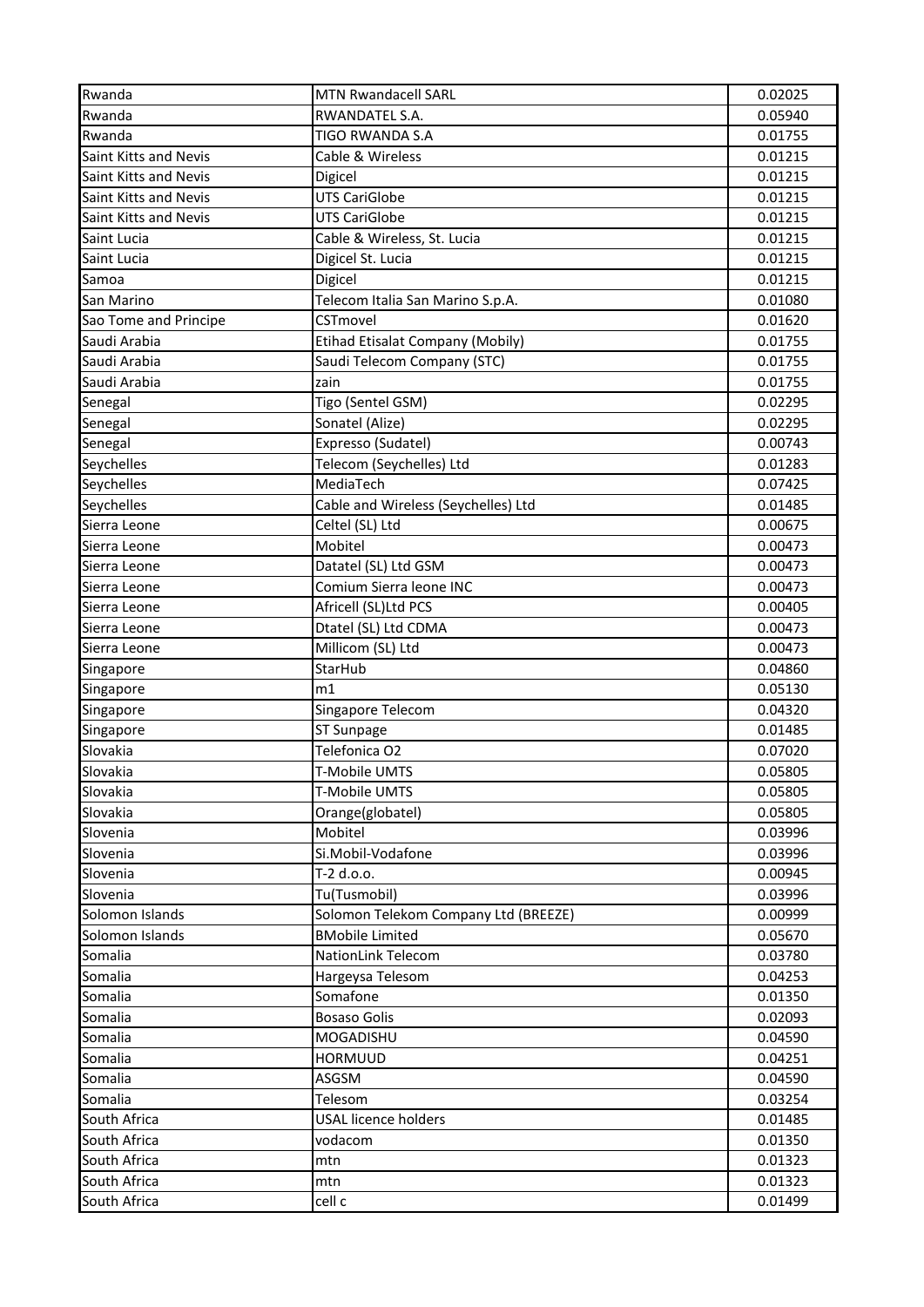| Rwanda                | <b>MTN Rwandacell SARL</b>              | 0.02025 |
|-----------------------|-----------------------------------------|---------|
| Rwanda                | RWANDATEL S.A.                          | 0.05940 |
| Rwanda                | <b>TIGO RWANDA S.A</b>                  | 0.01755 |
| Saint Kitts and Nevis | Cable & Wireless                        | 0.01215 |
| Saint Kitts and Nevis | Digicel                                 | 0.01215 |
| Saint Kitts and Nevis | <b>UTS CariGlobe</b>                    | 0.01215 |
| Saint Kitts and Nevis | <b>UTS CariGlobe</b>                    | 0.01215 |
| Saint Lucia           | Cable & Wireless, St. Lucia             | 0.01215 |
| Saint Lucia           | Digicel St. Lucia                       | 0.01215 |
| Samoa                 | Digicel                                 | 0.01215 |
| San Marino            | Telecom Italia San Marino S.p.A.        | 0.01080 |
| Sao Tome and Principe | CSTmovel                                | 0.01620 |
| Saudi Arabia          | <b>Etihad Etisalat Company (Mobily)</b> | 0.01755 |
| Saudi Arabia          | Saudi Telecom Company (STC)             | 0.01755 |
| Saudi Arabia          | zain                                    | 0.01755 |
| Senegal               | Tigo (Sentel GSM)                       | 0.02295 |
| Senegal               | Sonatel (Alize)                         | 0.02295 |
| Senegal               | Expresso (Sudatel)                      | 0.00743 |
| Seychelles            | Telecom (Seychelles) Ltd                | 0.01283 |
| Seychelles            | MediaTech                               | 0.07425 |
| Seychelles            | Cable and Wireless (Seychelles) Ltd     | 0.01485 |
| Sierra Leone          | Celtel (SL) Ltd                         | 0.00675 |
| Sierra Leone          | Mobitel                                 | 0.00473 |
| Sierra Leone          | Datatel (SL) Ltd GSM                    | 0.00473 |
| Sierra Leone          | Comium Sierra leone INC                 | 0.00473 |
| Sierra Leone          | Africell (SL)Ltd PCS                    | 0.00405 |
| Sierra Leone          | Dtatel (SL) Ltd CDMA                    | 0.00473 |
| Sierra Leone          | Millicom (SL) Ltd                       | 0.00473 |
| Singapore             | StarHub                                 | 0.04860 |
| Singapore             | m1                                      | 0.05130 |
| Singapore             | Singapore Telecom                       | 0.04320 |
| Singapore             | ST Sunpage                              | 0.01485 |
| Slovakia              | Telefonica O2                           | 0.07020 |
| Slovakia              | T-Mobile UMTS                           | 0.05805 |
| Slovakia              | T-Mobile UMTS                           | 0.05805 |
| Slovakia              | Orange(globatel)                        | 0.05805 |
| Slovenia              | Mobitel                                 | 0.03996 |
| Slovenia              | Si.Mobil-Vodafone                       | 0.03996 |
| Slovenia              | T-2 d.o.o.                              | 0.00945 |
| Slovenia              | Tu(Tusmobil)                            | 0.03996 |
| Solomon Islands       | Solomon Telekom Company Ltd (BREEZE)    | 0.00999 |
| Solomon Islands       | <b>BMobile Limited</b>                  | 0.05670 |
| Somalia               | NationLink Telecom                      | 0.03780 |
| Somalia               | Hargeysa Telesom                        | 0.04253 |
| Somalia               | Somafone                                | 0.01350 |
| Somalia               | <b>Bosaso Golis</b>                     | 0.02093 |
| Somalia               | MOGADISHU                               | 0.04590 |
| Somalia               | <b>HORMUUD</b>                          | 0.04251 |
| Somalia               | ASGSM                                   | 0.04590 |
| Somalia               | Telesom                                 | 0.03254 |
| South Africa          | <b>USAL licence holders</b>             | 0.01485 |
| South Africa          | vodacom                                 | 0.01350 |
| South Africa          | mtn                                     | 0.01323 |
| South Africa          | mtn                                     | 0.01323 |
| South Africa          | cell c                                  | 0.01499 |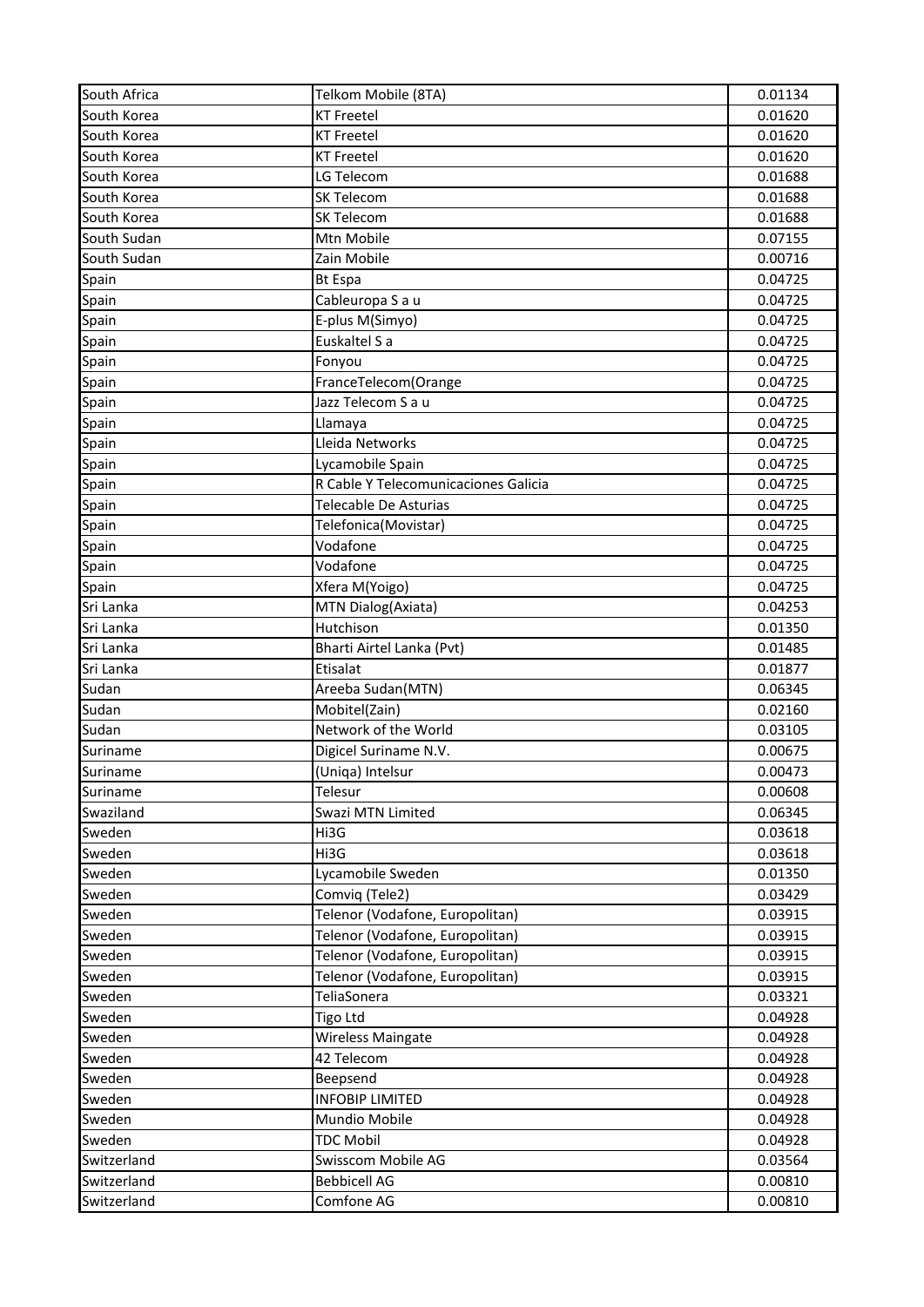| South Africa | Telkom Mobile (8TA)                  | 0.01134 |
|--------------|--------------------------------------|---------|
| South Korea  | <b>KT Freetel</b>                    | 0.01620 |
| South Korea  | <b>KT Freetel</b>                    | 0.01620 |
| South Korea  | <b>KT Freetel</b>                    | 0.01620 |
| South Korea  | LG Telecom                           | 0.01688 |
| South Korea  | SK Telecom                           | 0.01688 |
| South Korea  | SK Telecom                           | 0.01688 |
| South Sudan  | Mtn Mobile                           | 0.07155 |
| South Sudan  | Zain Mobile                          | 0.00716 |
| Spain        | <b>Bt Espa</b>                       | 0.04725 |
| Spain        | Cableuropa S a u                     | 0.04725 |
| Spain        | E-plus M(Simyo)                      | 0.04725 |
| Spain        | Euskaltel S a                        | 0.04725 |
| Spain        | Fonyou                               | 0.04725 |
| Spain        | FranceTelecom(Orange                 | 0.04725 |
| Spain        | Jazz Telecom S a u                   | 0.04725 |
| Spain        | Llamaya                              | 0.04725 |
| Spain        | Lleida Networks                      | 0.04725 |
| Spain        | Lycamobile Spain                     | 0.04725 |
| Spain        | R Cable Y Telecomunicaciones Galicia | 0.04725 |
| Spain        | Telecable De Asturias                | 0.04725 |
| Spain        | Telefonica(Movistar)                 | 0.04725 |
| Spain        | Vodafone                             | 0.04725 |
| Spain        | Vodafone                             | 0.04725 |
| Spain        | Xfera M(Yoigo)                       | 0.04725 |
| Sri Lanka    | MTN Dialog(Axiata)                   | 0.04253 |
| Sri Lanka    | Hutchison                            | 0.01350 |
| Sri Lanka    | Bharti Airtel Lanka (Pvt)            | 0.01485 |
| Sri Lanka    | Etisalat                             | 0.01877 |
| Sudan        | Areeba Sudan(MTN)                    | 0.06345 |
| Sudan        | Mobitel(Zain)                        | 0.02160 |
| Sudan        | Network of the World                 | 0.03105 |
| Suriname     | Digicel Suriname N.V.                | 0.00675 |
| Suriname     | (Uniqa) Intelsur                     | 0.00473 |
| Suriname     | Telesur                              | 0.00608 |
| Swaziland    | Swazi MTN Limited                    | 0.06345 |
| Sweden       | Hi3G                                 | 0.03618 |
| Sweden       | Hi3G                                 | 0.03618 |
| Sweden       | Lycamobile Sweden                    | 0.01350 |
| Sweden       | Comvig (Tele2)                       | 0.03429 |
| Sweden       | Telenor (Vodafone, Europolitan)      | 0.03915 |
| Sweden       | Telenor (Vodafone, Europolitan)      | 0.03915 |
| Sweden       | Telenor (Vodafone, Europolitan)      | 0.03915 |
| Sweden       | Telenor (Vodafone, Europolitan)      | 0.03915 |
| Sweden       | TeliaSonera                          | 0.03321 |
| Sweden       | Tigo Ltd                             | 0.04928 |
| Sweden       | Wireless Maingate                    | 0.04928 |
| Sweden       | 42 Telecom                           | 0.04928 |
| Sweden       | Beepsend                             | 0.04928 |
| Sweden       | <b>INFOBIP LIMITED</b>               | 0.04928 |
| Sweden       | Mundio Mobile                        | 0.04928 |
| Sweden       | <b>TDC Mobil</b>                     | 0.04928 |
| Switzerland  | Swisscom Mobile AG                   | 0.03564 |
| Switzerland  | <b>Bebbicell AG</b>                  | 0.00810 |
| Switzerland  | Comfone AG                           | 0.00810 |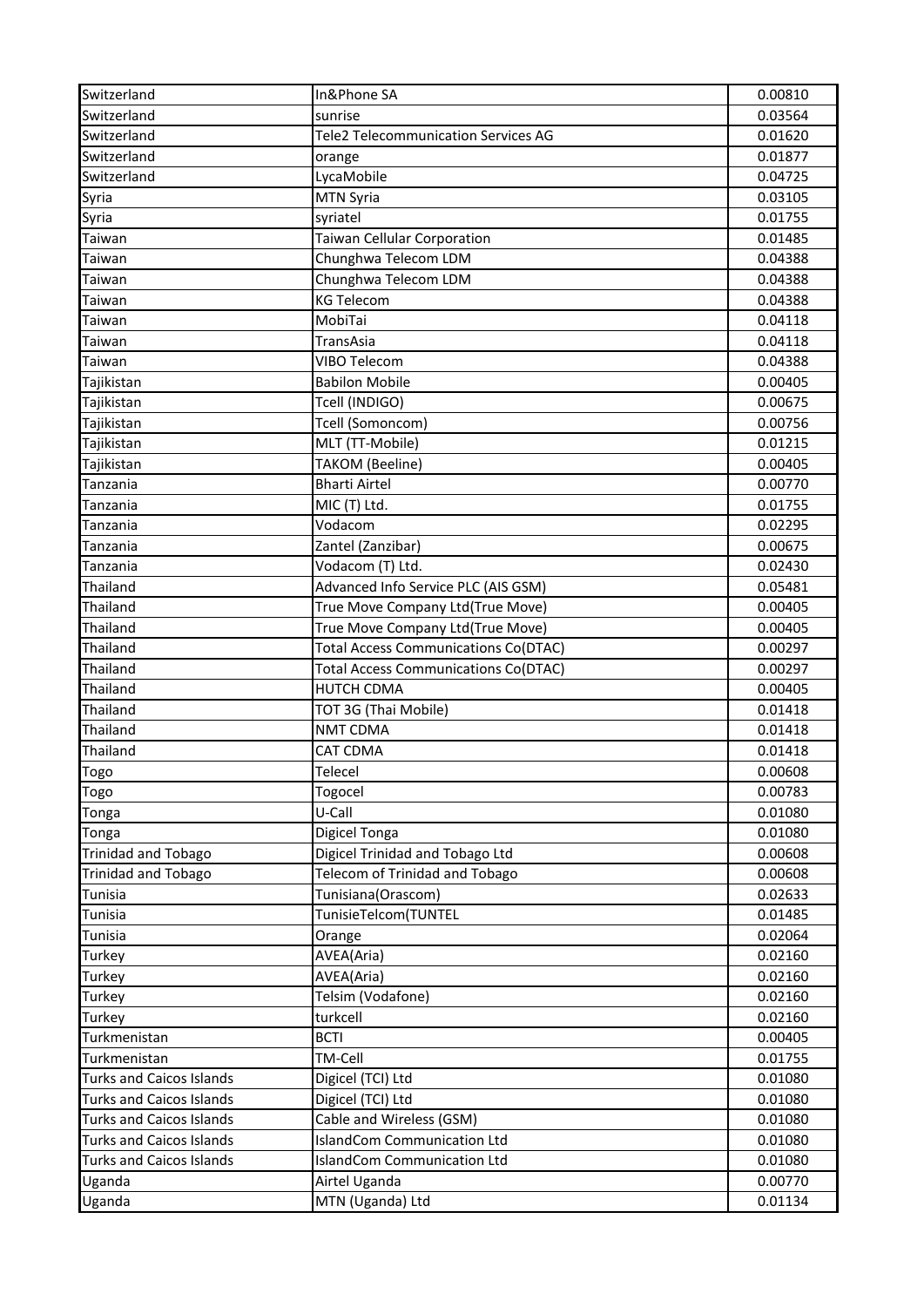| Switzerland                     | In&Phone SA                                 | 0.00810 |
|---------------------------------|---------------------------------------------|---------|
| Switzerland                     | sunrise                                     | 0.03564 |
| Switzerland                     | <b>Tele2 Telecommunication Services AG</b>  | 0.01620 |
| Switzerland                     | orange                                      | 0.01877 |
| Switzerland                     | LycaMobile                                  | 0.04725 |
| Syria                           | <b>MTN Syria</b>                            | 0.03105 |
| Syria                           | syriatel                                    | 0.01755 |
| Taiwan                          | Taiwan Cellular Corporation                 | 0.01485 |
| Taiwan                          | Chunghwa Telecom LDM                        | 0.04388 |
| Taiwan                          | Chunghwa Telecom LDM                        | 0.04388 |
| Taiwan                          | <b>KG Telecom</b>                           | 0.04388 |
| Taiwan                          | MobiTai                                     | 0.04118 |
| Taiwan                          | TransAsia                                   | 0.04118 |
| Taiwan                          | VIBO Telecom                                | 0.04388 |
| Tajikistan                      | <b>Babilon Mobile</b>                       | 0.00405 |
| Tajikistan                      | Tcell (INDIGO)                              | 0.00675 |
| Tajikistan                      | Tcell (Somoncom)                            | 0.00756 |
| Tajikistan                      | MLT (TT-Mobile)                             | 0.01215 |
| Tajikistan                      | <b>TAKOM (Beeline)</b>                      | 0.00405 |
| Tanzania                        | <b>Bharti Airtel</b>                        | 0.00770 |
| Tanzania                        | MIC (T) Ltd.                                | 0.01755 |
| Tanzania                        | Vodacom                                     | 0.02295 |
| Tanzania                        | Zantel (Zanzibar)                           | 0.00675 |
| Tanzania                        | Vodacom (T) Ltd.                            | 0.02430 |
| Thailand                        | Advanced Info Service PLC (AIS GSM)         | 0.05481 |
| Thailand                        | True Move Company Ltd(True Move)            | 0.00405 |
| Thailand                        | True Move Company Ltd(True Move)            | 0.00405 |
| Thailand                        | <b>Total Access Communications Co(DTAC)</b> | 0.00297 |
| Thailand                        | <b>Total Access Communications Co(DTAC)</b> | 0.00297 |
| Thailand                        | <b>HUTCH CDMA</b>                           | 0.00405 |
| Thailand                        | TOT 3G (Thai Mobile)                        | 0.01418 |
| Thailand                        | <b>NMT CDMA</b>                             | 0.01418 |
| Thailand                        | CAT CDMA                                    | 0.01418 |
| Togo                            | Telecel                                     | 0.00608 |
| Togo                            | Togocel                                     | 0.00783 |
| Tonga                           | U-Call                                      | 0.01080 |
| Tonga                           | Digicel Tonga                               | 0.01080 |
| <b>Trinidad and Tobago</b>      | Digicel Trinidad and Tobago Ltd             | 0.00608 |
| <b>Trinidad and Tobago</b>      | Telecom of Trinidad and Tobago              | 0.00608 |
| Tunisia                         | Tunisiana(Orascom)                          | 0.02633 |
| Tunisia                         | TunisieTelcom(TUNTEL                        | 0.01485 |
| Tunisia                         | Orange                                      | 0.02064 |
| Turkey                          | AVEA(Aria)                                  | 0.02160 |
| Turkey                          | AVEA(Aria)                                  | 0.02160 |
| Turkey                          | Telsim (Vodafone)                           | 0.02160 |
| Turkey                          | turkcell                                    | 0.02160 |
| Turkmenistan                    | <b>BCTI</b>                                 | 0.00405 |
| Turkmenistan                    | TM-Cell                                     | 0.01755 |
| <b>Turks and Caicos Islands</b> | Digicel (TCI) Ltd                           | 0.01080 |
| <b>Turks and Caicos Islands</b> | Digicel (TCI) Ltd                           | 0.01080 |
| <b>Turks and Caicos Islands</b> | Cable and Wireless (GSM)                    | 0.01080 |
| <b>Turks and Caicos Islands</b> | <b>IslandCom Communication Ltd</b>          | 0.01080 |
| <b>Turks and Caicos Islands</b> | <b>IslandCom Communication Ltd</b>          | 0.01080 |
|                                 | Airtel Uganda                               | 0.00770 |
| Uganda                          |                                             |         |
| Uganda                          | MTN (Uganda) Ltd                            | 0.01134 |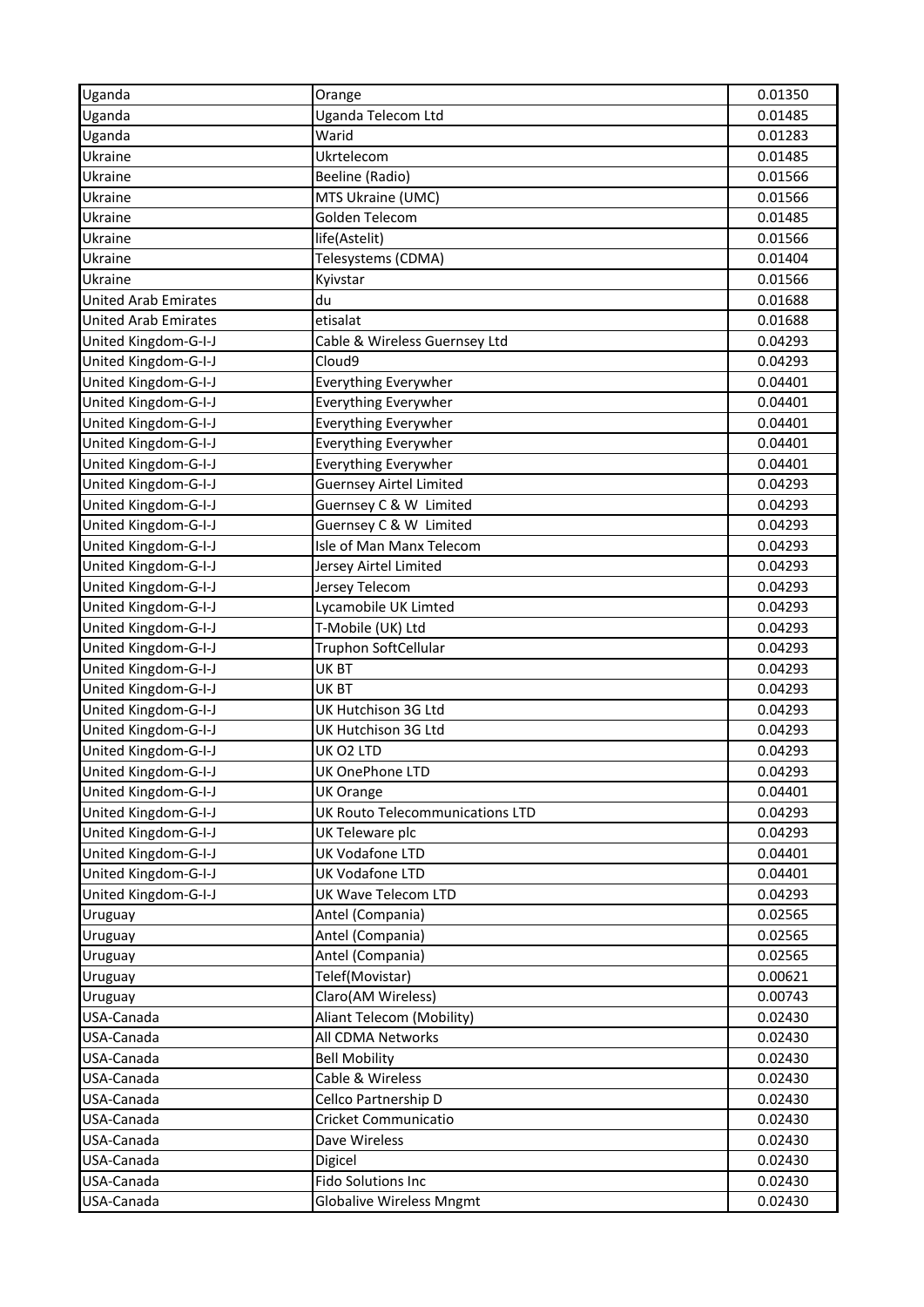| Uganda                      | Orange                                 | 0.01350 |
|-----------------------------|----------------------------------------|---------|
| Uganda                      | Uganda Telecom Ltd                     | 0.01485 |
| Uganda                      | Warid                                  | 0.01283 |
| Ukraine                     | Ukrtelecom                             | 0.01485 |
| Ukraine                     | Beeline (Radio)                        | 0.01566 |
| Ukraine                     | MTS Ukraine (UMC)                      | 0.01566 |
| Ukraine                     | Golden Telecom                         | 0.01485 |
| Ukraine                     | life(Astelit)                          | 0.01566 |
| Ukraine                     | Telesystems (CDMA)                     | 0.01404 |
| Ukraine                     | Kyivstar                               | 0.01566 |
| <b>United Arab Emirates</b> | du                                     | 0.01688 |
| <b>United Arab Emirates</b> | etisalat                               | 0.01688 |
| United Kingdom-G-I-J        | Cable & Wireless Guernsey Ltd          | 0.04293 |
| United Kingdom-G-I-J        | Cloud9                                 | 0.04293 |
| United Kingdom-G-I-J        | Everything Everywher                   | 0.04401 |
| United Kingdom-G-I-J        | Everything Everywher                   | 0.04401 |
| United Kingdom-G-I-J        | <b>Everything Everywher</b>            | 0.04401 |
| United Kingdom-G-I-J        | Everything Everywher                   | 0.04401 |
| United Kingdom-G-I-J        | Everything Everywher                   | 0.04401 |
| United Kingdom-G-I-J        | <b>Guernsey Airtel Limited</b>         | 0.04293 |
| United Kingdom-G-I-J        | Guernsey C & W Limited                 | 0.04293 |
| United Kingdom-G-I-J        | Guernsey C & W Limited                 | 0.04293 |
| United Kingdom-G-I-J        | Isle of Man Manx Telecom               | 0.04293 |
| United Kingdom-G-I-J        | Jersey Airtel Limited                  | 0.04293 |
| United Kingdom-G-I-J        | Jersey Telecom                         | 0.04293 |
| United Kingdom-G-I-J        | Lycamobile UK Limted                   | 0.04293 |
| United Kingdom-G-I-J        | T-Mobile (UK) Ltd                      | 0.04293 |
| United Kingdom-G-I-J        | Truphon SoftCellular                   | 0.04293 |
| United Kingdom-G-I-J        | UK BT                                  | 0.04293 |
| United Kingdom-G-I-J        | UK BT                                  | 0.04293 |
| United Kingdom-G-I-J        | UK Hutchison 3G Ltd                    | 0.04293 |
| United Kingdom-G-I-J        | UK Hutchison 3G Ltd                    | 0.04293 |
| United Kingdom-G-I-J        | UK O2 LTD                              | 0.04293 |
| United Kingdom-G-I-J        | UK OnePhone LTD                        | 0.04293 |
| United Kingdom-G-I-J        | <b>UK Orange</b>                       | 0.04401 |
| United Kingdom-G-I-J        | <b>UK Routo Telecommunications LTD</b> | 0.04293 |
| United Kingdom-G-I-J        | UK Teleware plc                        | 0.04293 |
| United Kingdom-G-I-J        | UK Vodafone LTD                        | 0.04401 |
| United Kingdom-G-I-J        | <b>UK Vodafone LTD</b>                 | 0.04401 |
| United Kingdom-G-I-J        | UK Wave Telecom LTD                    | 0.04293 |
| Uruguay                     | Antel (Compania)                       | 0.02565 |
| Uruguay                     | Antel (Compania)                       | 0.02565 |
| Uruguay                     | Antel (Compania)                       | 0.02565 |
| Uruguay                     | Telef(Movistar)                        | 0.00621 |
| Uruguay                     | Claro(AM Wireless)                     | 0.00743 |
| USA-Canada                  | Aliant Telecom (Mobility)              | 0.02430 |
| USA-Canada                  | All CDMA Networks                      | 0.02430 |
| USA-Canada                  | <b>Bell Mobility</b>                   | 0.02430 |
| USA-Canada                  | Cable & Wireless                       | 0.02430 |
| USA-Canada                  | Cellco Partnership D                   | 0.02430 |
| USA-Canada                  | Cricket Communicatio                   | 0.02430 |
| USA-Canada                  | Dave Wireless                          | 0.02430 |
| USA-Canada                  | Digicel                                | 0.02430 |
| USA-Canada                  | <b>Fido Solutions Inc</b>              | 0.02430 |
| USA-Canada                  | <b>Globalive Wireless Mngmt</b>        | 0.02430 |